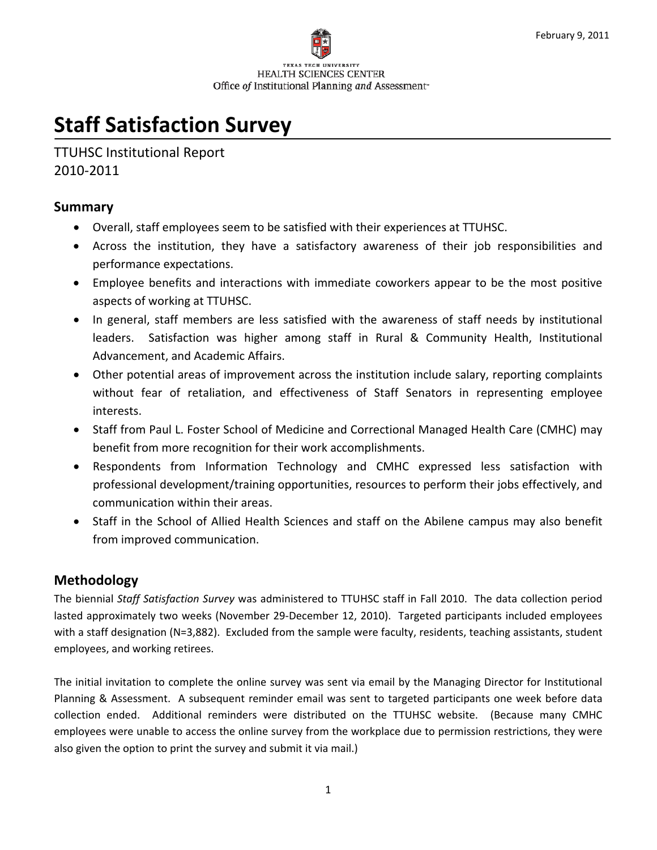

# **Staff Satisfaction Survey**

TTUHSC Institutional Report 2010‐2011

#### **Summary**

- Overall, staff employees seem to be satisfied with their experiences at TTUHSC.
- Across the institution, they have a satisfactory awareness of their job responsibilities and performance expectations.
- Employee benefits and interactions with immediate coworkers appear to be the most positive aspects of working at TTUHSC.
- In general, staff members are less satisfied with the awareness of staff needs by institutional leaders. Satisfaction was higher among staff in Rural & Community Health, Institutional Advancement, and Academic Affairs.
- Other potential areas of improvement across the institution include salary, reporting complaints without fear of retaliation, and effectiveness of Staff Senators in representing employee interests.
- Staff from Paul L. Foster School of Medicine and Correctional Managed Health Care (CMHC) may benefit from more recognition for their work accomplishments.
- Respondents from Information Technology and CMHC expressed less satisfaction with professional development/training opportunities, resources to perform their jobs effectively, and communication within their areas.
- Staff in the School of Allied Health Sciences and staff on the Abilene campus may also benefit from improved communication.

### **Methodology**

The biennial *Staff Satisfaction Survey* was administered to TTUHSC staff in Fall 2010. The data collection period lasted approximately two weeks (November 29‐December 12, 2010). Targeted participants included employees with a staff designation (N=3,882). Excluded from the sample were faculty, residents, teaching assistants, student employees, and working retirees.

The initial invitation to complete the online survey was sent via email by the Managing Director for Institutional Planning & Assessment. A subsequent reminder email was sent to targeted participants one week before data collection ended. Additional reminders were distributed on the TTUHSC website. (Because many CMHC employees were unable to access the online survey from the workplace due to permission restrictions, they were also given the option to print the survey and submit it via mail.)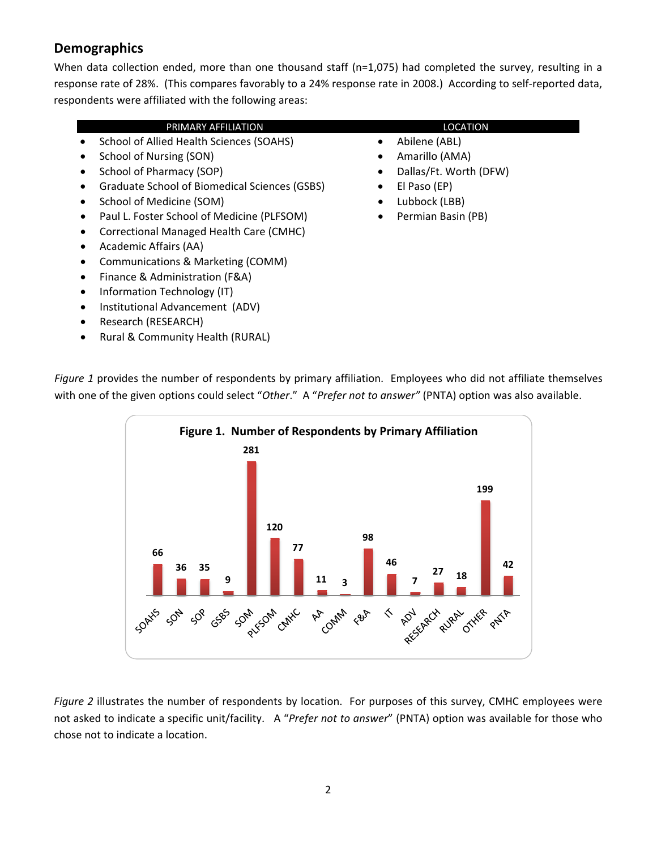## **Demographics**

When data collection ended, more than one thousand staff (n=1,075) had completed the survey, resulting in a response rate of 28%. (This compares favorably to a 24% response rate in 2008.) According to self‐reported data, respondents were affiliated with the following areas:

#### PRIMARY AFFILIATION **LOCATION**

- School of Allied Health Sciences (SOAHS)
- School of Nursing (SON)
- School of Pharmacy (SOP)
- Graduate School of Biomedical Sciences (GSBS)
- School of Medicine (SOM)
- Paul L. Foster School of Medicine (PLFSOM)
- Correctional Managed Health Care (CMHC)
- Academic Affairs (AA)
- Communications & Marketing (COMM)
- Finance & Administration (F&A)
- Information Technology (IT)
- Institutional Advancement (ADV)
- Research (RESEARCH)
- Rural & Community Health (RURAL)

- Abilene (ABL)
- Amarillo (AMA)
- Dallas/Ft. Worth (DFW)
- El Paso (EP)
- Lubbock (LBB)
- Permian Basin (PB)

*Figure 1* provides the number of respondents by primary affiliation. Employees who did not affiliate themselves with one of the given options could select "*Other*." A "*Prefer not to answer"* (PNTA) option was also available.



*Figure 2* illustrates the number of respondents by location. For purposes of this survey, CMHC employees were not asked to indicate a specific unit/facility. A "*Prefer not to answer*" (PNTA) option was available for those who chose not to indicate a location.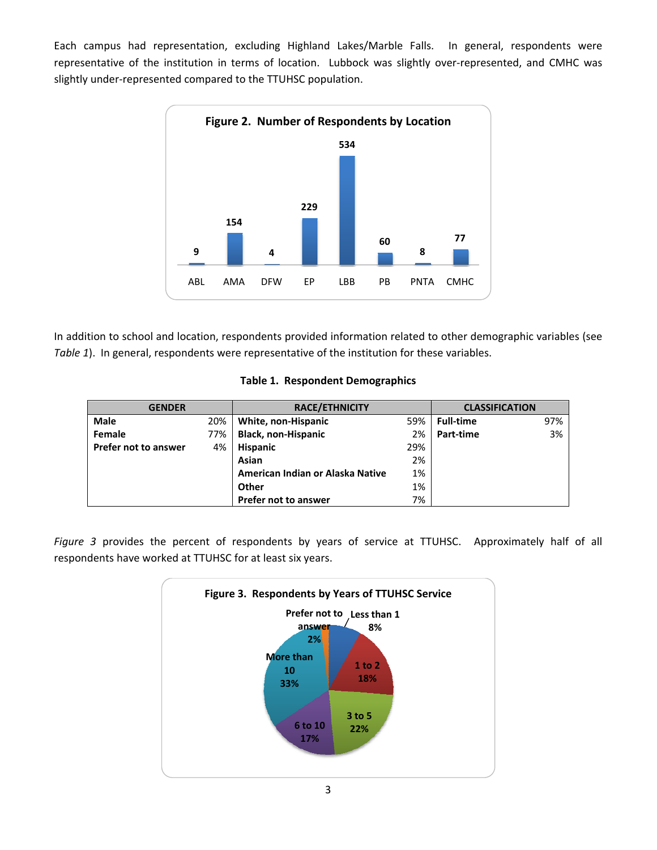Each campus had representation, excluding Highland Lakes/Marble Falls. In general, respondents were representative of the institution in terms of location. Lubbock was slightly over‐represented, and CMHC was slightly under‐represented compared to the TTUHSC population.



In addition to school and location, respondents provided information related to other demographic variables (see *Table 1*). In general, respondents were representative of the institution for these variables.

| <b>GENDER</b>        |     | <b>RACE/ETHNICITY</b>            |     | <b>CLASSIFICATION</b> |     |
|----------------------|-----|----------------------------------|-----|-----------------------|-----|
| Male                 | 20% | White, non-Hispanic              | 59% | <b>Full-time</b>      | 97% |
| Female               | 77% | <b>Black, non-Hispanic</b>       | 2%  | Part-time             | 3%  |
| Prefer not to answer | 4%  | <b>Hispanic</b>                  | 29% |                       |     |
|                      |     | Asian                            | 2%  |                       |     |
|                      |     | American Indian or Alaska Native | 1%  |                       |     |
|                      |     | Other                            | 1%  |                       |     |
|                      |     | Prefer not to answer             | 7%  |                       |     |

|  |  | Table 1. Respondent Demographics |
|--|--|----------------------------------|
|--|--|----------------------------------|

*Figure 3* provides the percent of respondents by years of service at TTUHSC. Approximately half of all respondents have worked at TTUHSC for at least six years.

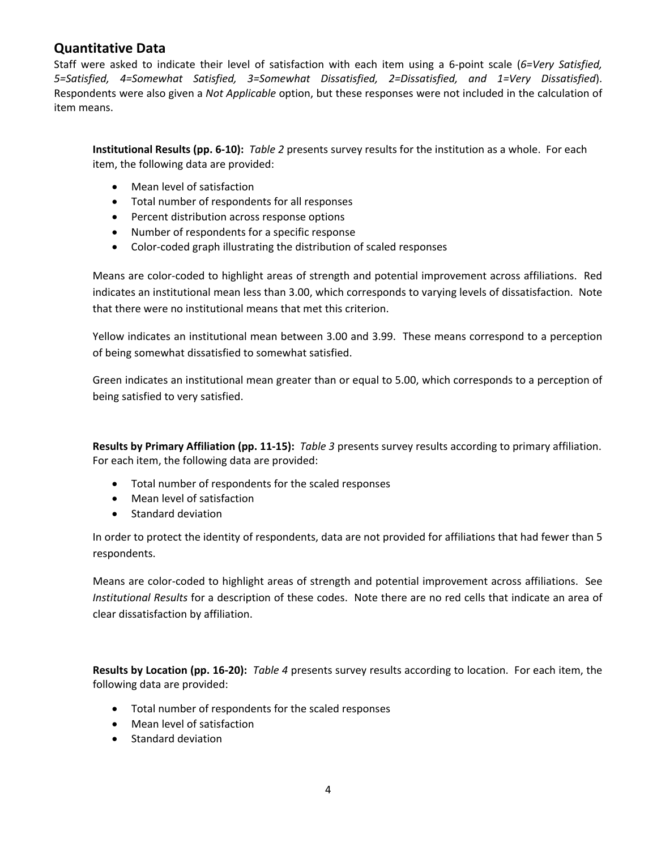#### **Quantitative Data**

Staff were asked to indicate their level of satisfaction with each item using a 6‐point scale (*6=Very Satisfied, 5=Satisfied, 4=Somewhat Satisfied, 3=Somewhat Dissatisfied, 2=Dissatisfied, and 1=Very Dissatisfied*). Respondents were also given a *Not Applicable* option, but these responses were not included in the calculation of item means.

**Institutional Results (pp. 6‐10):** *Table 2* presents survey results for the institution as a whole. For each item, the following data are provided:

- Mean level of satisfaction
- Total number of respondents for all responses
- Percent distribution across response options
- Number of respondents for a specific response
- Color‐coded graph illustrating the distribution of scaled responses

Means are color‐coded to highlight areas of strength and potential improvement across affiliations. Red indicates an institutional mean less than 3.00, which corresponds to varying levels of dissatisfaction. Note that there were no institutional means that met this criterion.

Yellow indicates an institutional mean between 3.00 and 3.99. These means correspond to a perception of being somewhat dissatisfied to somewhat satisfied.

Green indicates an institutional mean greater than or equal to 5.00, which corresponds to a perception of being satisfied to very satisfied.

**Results by Primary Affiliation (pp. 11‐15):** *Table 3* presents survey results according to primary affiliation. For each item, the following data are provided:

- Total number of respondents for the scaled responses
- Mean level of satisfaction
- Standard deviation

In order to protect the identity of respondents, data are not provided for affiliations that had fewer than 5 respondents.

Means are color‐coded to highlight areas of strength and potential improvement across affiliations. See *Institutional Results* for a description of these codes. Note there are no red cells that indicate an area of clear dissatisfaction by affiliation.

**Results by Location (pp. 16‐20):** *Table 4* presents survey results according to location. For each item, the following data are provided:

- Total number of respondents for the scaled responses
- Mean level of satisfaction
- Standard deviation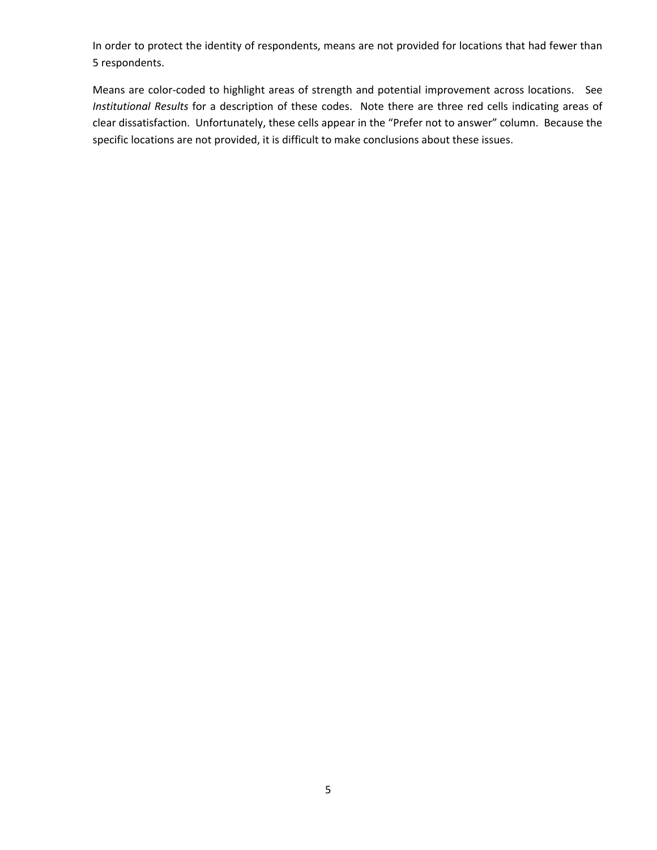In order to protect the identity of respondents, means are not provided for locations that had fewer than 5 respondents.

Means are color‐coded to highlight areas of strength and potential improvement across locations. See *Institutional Results* for a description of these codes. Note there are three red cells indicating areas of clear dissatisfaction. Unfortunately, these cells appear in the "Prefer not to answer" column. Because the specific locations are not provided, it is difficult to make conclusions about these issues.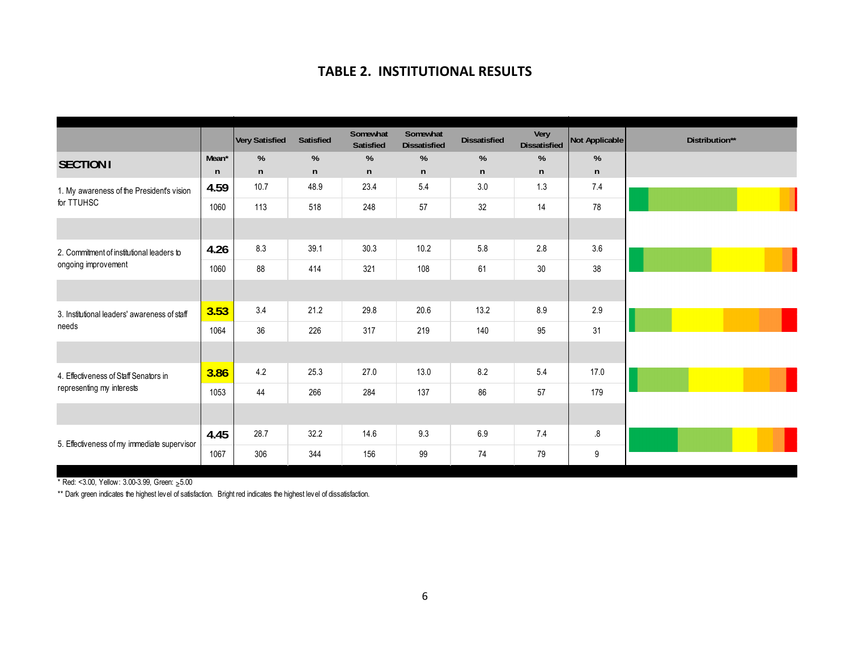#### **TABLE 2. INSTITUTIONAL RESULTS**

|                                              |                   | Very Satisfied | <b>Satisfied</b> | Somewhat<br>Satisfied | Somewhat<br><b>Dissatisfied</b> | <b>Dissatisfied</b> | Very<br><b>Dissatisfied</b> | Not Applicable | Distribution** |
|----------------------------------------------|-------------------|----------------|------------------|-----------------------|---------------------------------|---------------------|-----------------------------|----------------|----------------|
| <b>SECTION I</b>                             | Mean <sup>*</sup> | %              | %                | %                     | %                               | %                   | %                           | %              |                |
|                                              | n                 | n              | n                | n                     | n                               | n                   | n                           | $\mathsf{n}$   |                |
| 1. My awareness of the President's vision    | 4.59              | 10.7           | 48.9             | 23.4                  | 5.4                             | 3.0                 | 1.3                         | 7.4            |                |
| for TTUHSC                                   | 1060              | 113            | 518              | 248                   | 57                              | 32                  | 14                          | 78             |                |
|                                              |                   |                |                  |                       |                                 |                     |                             |                |                |
| 2. Commitment of institutional leaders to    | 4.26              | 8.3            | 39.1             | 30.3                  | 10.2                            | 5.8                 | 2.8                         | 3.6            |                |
| ongoing improvement                          | 1060              | 88             | 414              | 321                   | 108                             | 61                  | 30                          | 38             |                |
|                                              |                   |                |                  |                       |                                 |                     |                             |                |                |
| 3. Institutional leaders' awareness of staff | 3.53              | 3.4            | 21.2             | 29.8                  | 20.6                            | 13.2                | 8.9                         | 2.9            |                |
| needs                                        | 1064              | 36             | 226              | 317                   | 219                             | 140                 | 95                          | 31             |                |
|                                              |                   |                |                  |                       |                                 |                     |                             |                |                |
| 4. Effectiveness of Staff Senators in        | 3.86              | 4.2            | 25.3             | 27.0                  | 13.0                            | 8.2                 | 5.4                         | 17.0           |                |
| representing my interests                    | 1053              | 44             | 266              | 284                   | 137                             | 86                  | 57                          | 179            |                |
|                                              |                   |                |                  |                       |                                 |                     |                             |                |                |
| 5. Effectiveness of my immediate supervisor  | 4.45              | 28.7           | 32.2             | 14.6                  | 9.3                             | 6.9                 | 7.4                         | 8.5            |                |
|                                              | 1067              | 306            | 344              | 156                   | 99                              | 74                  | 79                          | 9              |                |

\* Red: <3.00, Yellow: 3.00-3.99, Green: ≥5.00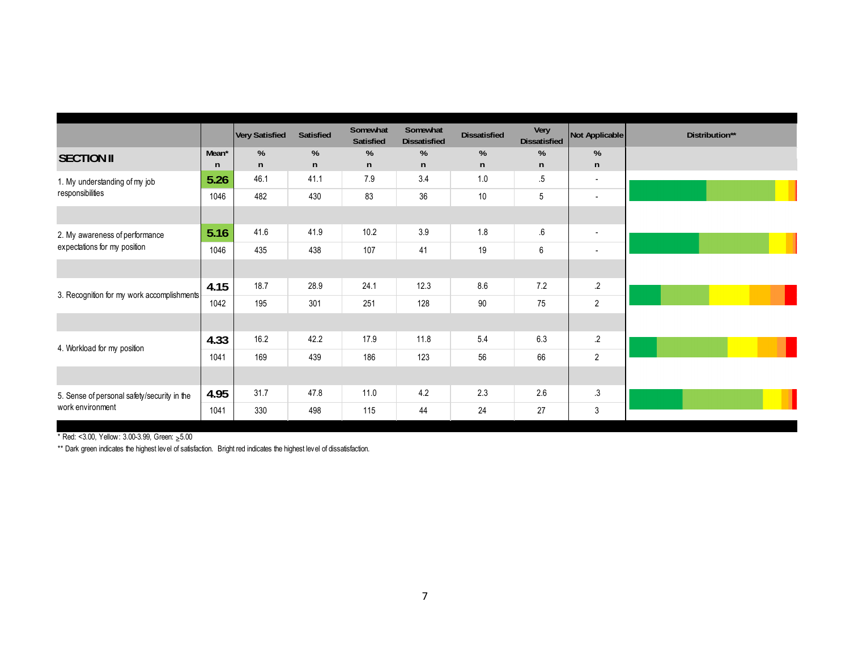|                                             |                   | <b>Very Satisfied</b> | Satisfied    | Somewhat<br>Satisfied | Somewhat<br><b>Dissatisfied</b> | <b>Dissatisfied</b> | Very<br><b>Dissatisfied</b> | Not Applicable           | Distribution** |
|---------------------------------------------|-------------------|-----------------------|--------------|-----------------------|---------------------------------|---------------------|-----------------------------|--------------------------|----------------|
| <b>SECTION II</b>                           | Mean <sup>*</sup> | %                     | %            | %                     | %                               | %                   | %                           | %                        |                |
|                                             | n                 | n                     | $\mathsf{n}$ | n                     | n                               | n                   | n                           | $\mathsf{n}$             |                |
| 1. My understanding of my job               | 5.26              | 46.1                  | 41.1         | 7.9                   | 3.4                             | 1.0                 | $.5\,$                      | $\overline{\phantom{a}}$ |                |
| responsibilities                            | 1046              | 482                   | 430          | 83                    | 36                              | $10$                | 5                           | $\overline{\phantom{a}}$ |                |
|                                             |                   |                       |              |                       |                                 |                     |                             |                          |                |
| 2. My awareness of performance              | 5.16              | 41.6                  | 41.9         | 10.2                  | 3.9                             | 1.8                 | $\pmb{.6}$                  | $\overline{\phantom{a}}$ |                |
| expectations for my position                | 1046              | 435                   | 438          | 107                   | 41                              | 19                  | 6                           | $\overline{\phantom{a}}$ |                |
|                                             |                   |                       |              |                       |                                 |                     |                             |                          |                |
| 3. Recognition for my work accomplishments  | 4.15              | 18.7                  | 28.9         | 24.1                  | 12.3                            | 8.6                 | 7.2                         | $\cdot$                  |                |
|                                             | 1042              | 195                   | 301          | 251                   | 128                             | $90\,$              | 75                          | $\overline{2}$           |                |
|                                             |                   |                       |              |                       |                                 |                     |                             |                          |                |
| 4. Workload for my position                 | 4.33              | 16.2                  | 42.2         | 17.9                  | 11.8                            | 5.4                 | 6.3                         | $\cdot$                  |                |
|                                             | 1041              | 169                   | 439          | 186                   | 123                             | 56                  | 66                          | $\overline{2}$           |                |
|                                             |                   |                       |              |                       |                                 |                     |                             |                          |                |
| 5. Sense of personal safety/security in the | 4.95              | 31.7                  | 47.8         | 11.0                  | 4.2                             | 2.3                 | 2.6                         | $\cdot$ 3                |                |
| work environment                            | 1041              | 330                   | 498          | 115                   | 44                              | 24                  | 27                          | $\mathbf{3}$             |                |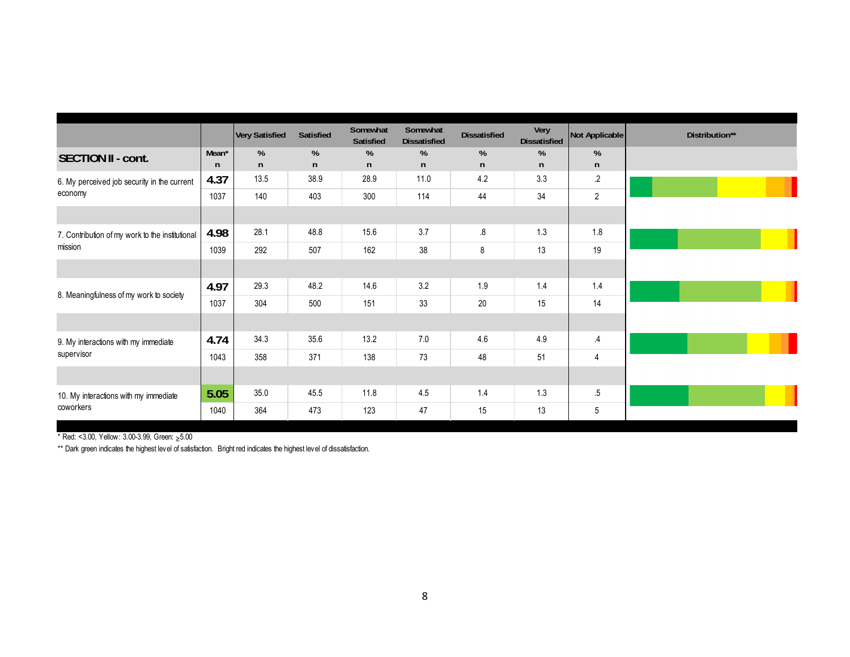|                                                 |       | Very Satisfied | Satisfied | Somewhat<br>Satisfied | Somewhat<br><b>Dissatisfied</b> | <b>Dissatisfied</b> | Very<br><b>Dissatisfied</b> | Not Applicable | Distribution** |
|-------------------------------------------------|-------|----------------|-----------|-----------------------|---------------------------------|---------------------|-----------------------------|----------------|----------------|
| <b>SECTION II - cont.</b>                       | Mean* | %              | %         | %                     | %                               | %                   | %                           | $\%$           |                |
|                                                 | n     | $\mathsf{n}$   | n         | $\mathsf{n}$          | n                               | n                   | n                           | n              |                |
| 6. My perceived job security in the current     | 4.37  | 13.5           | 38.9      | 28.9                  | 11.0                            | 4.2                 | 3.3                         | $\cdot$        |                |
| economy                                         | 1037  | 140            | 403       | 300                   | 114                             | 44                  | 34                          | $\overline{2}$ |                |
|                                                 |       |                |           |                       |                                 |                     |                             |                |                |
| 7. Contribution of my work to the institutional | 4.98  | 28.1           | 48.8      | 15.6                  | 3.7                             | 8.5                 | 1.3                         | 1.8            |                |
| mission                                         | 1039  | 292            | 507       | 162                   | 38                              | 8                   | 13                          | 19             |                |
|                                                 |       |                |           |                       |                                 |                     |                             |                |                |
| 8. Meaningfulness of my work to society         | 4.97  | 29.3           | 48.2      | 14.6                  | 3.2                             | 1.9                 | 1.4                         | 1.4            |                |
|                                                 | 1037  | 304            | 500       | 151                   | 33                              | 20                  | 15                          | 14             |                |
|                                                 |       |                |           |                       |                                 |                     |                             |                |                |
| 9. My interactions with my immediate            | 4.74  | 34.3           | 35.6      | 13.2                  | 7.0                             | 4.6                 | 4.9                         | $\cdot$        |                |
| supervisor                                      | 1043  | 358            | 371       | 138                   | 73                              | 48                  | 51                          | $\overline{4}$ |                |
|                                                 |       |                |           |                       |                                 |                     |                             |                |                |
| 10. My interactions with my immediate           | 5.05  | 35.0           | 45.5      | 11.8                  | 4.5                             | 1.4                 | 1.3                         | $.5\,$         |                |
| coworkers                                       | 1040  | 364            | 473       | 123                   | 47                              | 15                  | 13                          | 5              |                |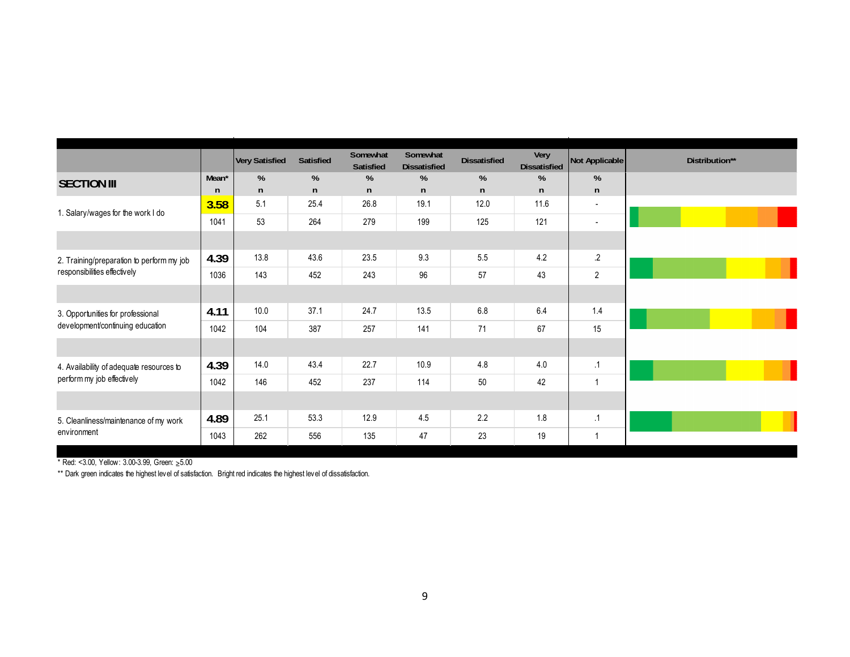|                                           |                   | <b>Very Satisfied</b> | Satisfied | Somewhat<br><b>Satisfied</b> | Somewhat<br><b>Dissatisfied</b> | <b>Dissatisfied</b> | Very<br><b>Dissatisfied</b> | Not Applicable           | Distribution** |
|-------------------------------------------|-------------------|-----------------------|-----------|------------------------------|---------------------------------|---------------------|-----------------------------|--------------------------|----------------|
| <b>SECTION III</b>                        | Mean <sup>*</sup> | %                     | %         | %                            | %                               | %                   | %                           | %                        |                |
|                                           | $\mathsf{n}$      | $\mathsf{n}$          | n         | $\mathsf{n}$                 | n                               | n                   | n                           | n                        |                |
| 1. Salary/wages for the work I do         | 3.58              | 5.1                   | 25.4      | 26.8                         | 19.1                            | 12.0                | 11.6                        | $\overline{\phantom{a}}$ |                |
|                                           | 1041              | 53                    | 264       | 279                          | 199                             | 125                 | 121                         | $\overline{\phantom{a}}$ |                |
|                                           |                   |                       |           |                              |                                 |                     |                             |                          |                |
| 2. Training/preparation to perform my job | 4.39              | 13.8                  | 43.6      | 23.5                         | 9.3                             | 5.5                 | 4.2                         | $\cdot$                  |                |
| responsibilities effectively              | 1036              | 143                   | 452       | 243                          | 96                              | 57                  | 43                          | $\overline{2}$           |                |
|                                           |                   |                       |           |                              |                                 |                     |                             |                          |                |
| 3. Opportunities for professional         | 4.11              | 10.0                  | 37.1      | 24.7                         | 13.5                            | 6.8                 | 6.4                         | 1.4                      |                |
| development/continuing education          | 1042              | 104                   | 387       | 257                          | 141                             | 71                  | 67                          | 15                       |                |
|                                           |                   |                       |           |                              |                                 |                     |                             |                          |                |
| 4. Availability of adequate resources to  | 4.39              | 14.0                  | 43.4      | 22.7                         | 10.9                            | 4.8                 | 4.0                         | $\cdot$ 1                |                |
| perform my job effectively                | 1042              | 146                   | 452       | 237                          | 114                             | 50                  | 42                          | $\mathbf{1}$             |                |
|                                           |                   |                       |           |                              |                                 |                     |                             |                          |                |
| 5. Cleanliness/maintenance of my work     | 4.89              | 25.1                  | 53.3      | 12.9                         | 4.5                             | 2.2                 | 1.8                         | $\cdot$ 1                |                |
| environment                               | 1043              | 262                   | 556       | 135                          | 47                              | 23                  | 19                          | $\mathbf 1$              |                |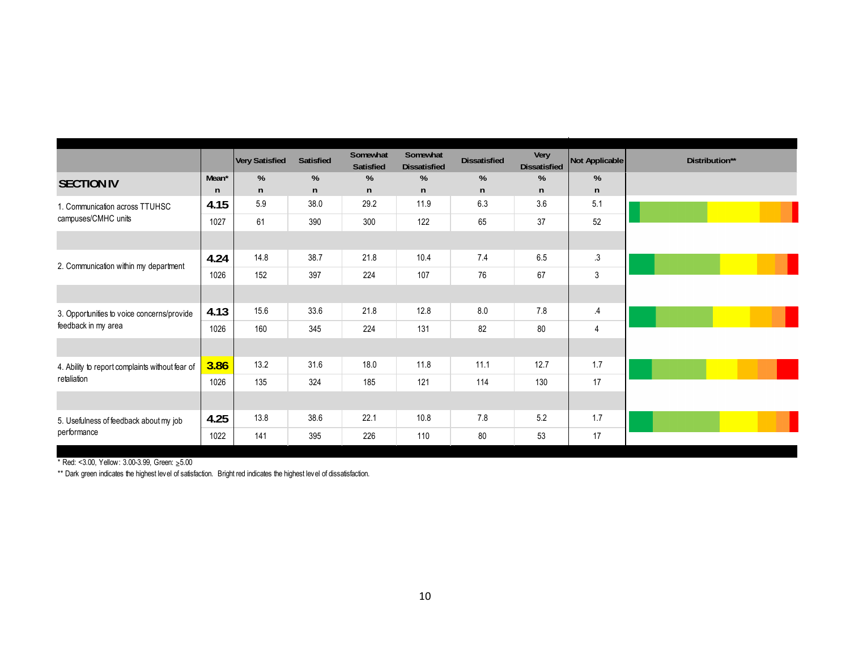|                                                 |       | <b>Very Satisfied</b> | Satisfied | Somewhat<br>Satisfied | Somewhat<br><b>Dissatisfied</b> | <b>Dissatisfied</b> | Very<br><b>Dissatisfied</b> | Not Applicable | Distribution** |
|-------------------------------------------------|-------|-----------------------|-----------|-----------------------|---------------------------------|---------------------|-----------------------------|----------------|----------------|
| <b>SECTION IV</b>                               | Mean* | %                     | %         | %                     | %                               | %                   | %                           | %              |                |
|                                                 | n     | $\mathsf{n}$          | n         | n                     | n                               | $\mathsf{n}$        | n                           | n              |                |
| 1. Communication across TTUHSC                  | 4.15  | 5.9                   | 38.0      | 29.2                  | 11.9                            | 6.3                 | 3.6                         | 5.1            |                |
| campuses/CMHC units                             | 1027  | 61                    | 390       | 300                   | 122                             | 65                  | 37                          | 52             |                |
|                                                 |       |                       |           |                       |                                 |                     |                             |                |                |
| 2. Communication within my department           | 4.24  | 14.8                  | 38.7      | 21.8                  | 10.4                            | 7.4                 | 6.5                         | .3             |                |
|                                                 | 1026  | 152                   | 397       | 224                   | 107                             | 76                  | 67                          | 3              |                |
|                                                 |       |                       |           |                       |                                 |                     |                             |                |                |
| 3. Opportunities to voice concerns/provide      | 4.13  | 15.6                  | 33.6      | 21.8                  | 12.8                            | 8.0                 | 7.8                         | $\cdot$ 4      |                |
| feedback in my area                             | 1026  | 160                   | 345       | 224                   | 131                             | 82                  | 80                          | $\overline{4}$ |                |
|                                                 |       |                       |           |                       |                                 |                     |                             |                |                |
| 4. Ability to report complaints without fear of | 3.86  | 13.2                  | 31.6      | 18.0                  | 11.8                            | 11.1                | 12.7                        | 1.7            |                |
| retaliation                                     | 1026  | 135                   | 324       | 185                   | 121                             | 114                 | 130                         | 17             |                |
|                                                 |       |                       |           |                       |                                 |                     |                             |                |                |
| 5. Usefulness of feedback about my job          | 4.25  | 13.8                  | 38.6      | 22.1                  | 10.8                            | 7.8                 | 5.2                         | 1.7            |                |
| performance                                     | 1022  | 141                   | 395       | 226                   | 110                             | 80                  | 53                          | 17             |                |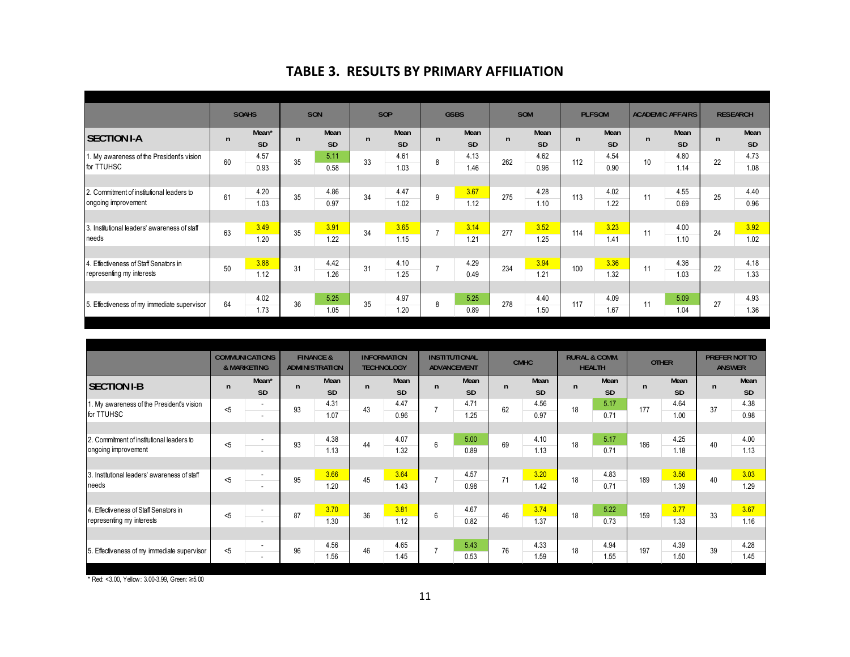#### **TABLE 3. RESULTS BY PRIMARY AFFILIATION**

|                                              |              | <b>SOAHS</b>      |              | SON       | SOP |      | <b>GSBS</b>    |      |              | SOM  |     | <b>PLFSOM</b> |              | <b>ACADEMIC AFFAIRS</b> | <b>RESEARCH</b> |           |
|----------------------------------------------|--------------|-------------------|--------------|-----------|-----|------|----------------|------|--------------|------|-----|---------------|--------------|-------------------------|-----------------|-----------|
| <b>SECTION I-A</b>                           | $\mathsf{n}$ | Mean <sup>*</sup> | $\mathsf{n}$ | Mean      | n   | Mean | $\mathsf{n}$   | Mean | $\mathsf{n}$ | Mean | n   | Mean          | $\mathsf{n}$ | Mean                    | $\mathsf{n}$    | Mean      |
|                                              |              | SD                |              | <b>SD</b> |     | SD   |                | SD   |              | SD   |     | <b>SD</b>     |              | <b>SD</b>               |                 | <b>SD</b> |
| 1. My awareness of the President's vision    | 60           | 4.57              | 35           | 5.11      | 33  | 4.61 | 8              | 4.13 | 262          | 4.62 | 112 | 4.54          | 10           | 4.80                    | 22              | 4.73      |
| for TTUHSC                                   |              | 0.93              |              | 0.58      |     | 1.03 |                | 1.46 |              | 0.96 |     | 0.90          |              | 1.14                    |                 | 1.08      |
|                                              |              |                   |              |           |     |      |                |      |              |      |     |               |              |                         |                 |           |
| 2. Commitment of institutional leaders to    | 61           | 4.20              | 35           | 4.86      | 34  | 4.47 | 9              | 3.67 | 275          | 4.28 | 113 | 4.02          | 11           | 4.55                    | 25              | 4.40      |
| ongoing improvement                          |              | 1.03              |              | 0.97      |     | 1.02 |                | 1.12 |              | 1.10 |     | 1.22          |              | 0.69                    |                 | 0.96      |
|                                              |              |                   |              |           |     |      |                |      |              |      |     |               |              |                         |                 |           |
| 3. Institutional leaders' awareness of staff | 63           | 3.49              | 35           | 3.91      | 34  | 3.65 | $\overline{7}$ | 3.14 | 277          | 3.52 | 114 | 3.23          | 11           | 4.00                    | 24              | 3.92      |
| needs                                        |              | 1.20              |              | 1.22      |     | 1.15 |                | 1.21 |              | 1.25 |     | 1.41          |              | 1.10                    |                 | 1.02      |
|                                              |              |                   |              |           |     |      |                |      |              |      |     |               |              |                         |                 |           |
| 4. Effectiveness of Staff Senators in        | 50           | 3.88              | 31           | 4.42      | 31  | 4.10 | $\overline{7}$ | 4.29 | 234          | 3.94 | 100 | 3.36          | 11           | 4.36                    | 22              | 4.18      |
| representing my interests                    |              | 1.12              |              | 1.26      |     | 1.25 |                | 0.49 |              | 1.21 |     | 1.32          |              | 1.03                    |                 | 1.33      |
|                                              |              |                   |              |           |     |      |                |      |              |      |     |               |              |                         |                 |           |
| 5. Effectiveness of my immediate supervisor  | 64           | 4.02              | 36           | 5.25      | 35  | 4.97 | 8              | 5.25 | 278          | 4.40 | 117 | 4.09          | 11           | 5.09                    | 27              | 4.93      |
|                                              |              | 1.73              |              | 1.05      |     | 1.20 |                | 0.89 |              | 1.50 |     | 1.67          |              | 1.04                    |                 | 1.36      |

|                                                                  | <b>COMMUNICATIONS</b><br>& MARKETING |                               | <b>INFORMATION</b><br><b>FINANCE &amp;</b><br><b>ADMINISTRATION</b><br><b>TECHNOLOGY</b> |                   |              | <b>INSTITUTIONAL</b><br><b>ADVANCEMENT</b> |                |                   | <b>CMHC</b>  |                   | <b>RURAL &amp; COMM.</b><br><b>HEALTH</b> |              | <b>OTHER</b> |                   | PREFER NOT TO<br><b>ANSWER</b> |                   |
|------------------------------------------------------------------|--------------------------------------|-------------------------------|------------------------------------------------------------------------------------------|-------------------|--------------|--------------------------------------------|----------------|-------------------|--------------|-------------------|-------------------------------------------|--------------|--------------|-------------------|--------------------------------|-------------------|
| <b>SECTION I-B</b>                                               | $\mathsf{n}$                         | Mean*<br><b>SD</b>            | $\mathsf{n}$                                                                             | Mean<br><b>SD</b> | $\mathsf{n}$ | Mean<br><b>SD</b>                          | n              | Mean<br><b>SD</b> | $\mathsf{n}$ | Mean<br><b>SD</b> | $\mathsf{n}$                              | Mean<br>SD   | $\mathsf{n}$ | Mean<br><b>SD</b> | n                              | Mean<br><b>SD</b> |
| 1. My awareness of the President's vision<br>for TTUHSC          | < 5                                  | ٠<br>$\overline{\phantom{a}}$ | 93                                                                                       | 4.31<br>1.07      | 43           | 4.47<br>0.96                               | $\overline{7}$ | 4.71<br>1.25      | 62           | 4.56<br>0.97      | 18                                        | 5.17<br>0.71 | 177          | 4.64<br>1.00      | 37                             | 4.38<br>0.98      |
|                                                                  |                                      |                               |                                                                                          |                   |              |                                            |                |                   |              |                   |                                           |              |              |                   |                                |                   |
| 2. Commitment of institutional leaders to<br>ongoing improvement | < 5                                  | ٠<br>$\overline{\phantom{a}}$ | 93                                                                                       | 4.38<br>1.13      | 44           | 4.07<br>1.32                               | 6              | 5.00<br>0.89      | 69           | 4.10<br>1.13      | 18                                        | 5.17<br>0.71 | 186          | 4.25<br>1.18      | 40                             | 4.00<br>1.13      |
|                                                                  |                                      |                               |                                                                                          |                   |              |                                            |                |                   |              |                   |                                           |              |              |                   |                                |                   |
| 3. Institutional leaders' awareness of staff<br>needs            | < 5                                  | ٠<br>$\sim$                   | 95                                                                                       | 3.66<br>1.20      | 45           | 3.64<br>1.43                               | $\overline{7}$ | 4.57<br>0.98      | 71           | 3.20<br>1.42      | 18                                        | 4.83<br>0.71 | 189          | 3.56<br>1.39      | 40                             | 3.03<br>1.29      |
|                                                                  |                                      |                               |                                                                                          |                   |              |                                            |                |                   |              |                   |                                           |              |              |                   |                                |                   |
| 4. Effectiveness of Staff Senators in                            | < 5                                  | ٠                             | 87                                                                                       | 3.70              | 36           | 3.81                                       | 6              | 4.67              | 46           | 3.74              | 18                                        | 5.22         | 159          | 3.77              | 33                             | 3.67              |
| representing my interests                                        |                                      | $\overline{\phantom{a}}$      |                                                                                          | 1.30              |              | 1.12                                       |                | 0.82              |              | 1.37              |                                           | 0.73         |              | 1.33              |                                | 1.16              |
|                                                                  |                                      | $\overline{\phantom{a}}$      |                                                                                          | 4.56              |              | 4.65                                       | $\overline{7}$ | 5.43              |              | 4.33              |                                           | 4.94         |              | 4.39              |                                | 4.28              |
| 5. Effectiveness of my immediate supervisor                      | < 5                                  | ۰.                            | 96                                                                                       | 1.56              | 46           | 1.45                                       |                | 0.53              | 76           | 1.59              | 18                                        | 1.55         | 197          | 1.50              | 39                             | 1.45              |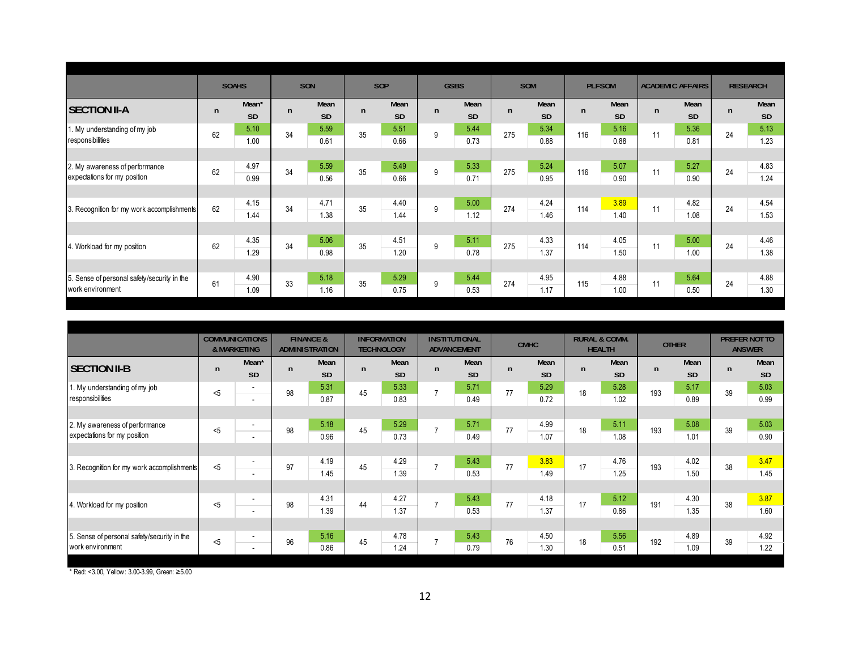|              |                    |              |                   |     |                   |              |                   |              |                   |              |                   |               |                   |                         | <b>RESEARCH</b>   |
|--------------|--------------------|--------------|-------------------|-----|-------------------|--------------|-------------------|--------------|-------------------|--------------|-------------------|---------------|-------------------|-------------------------|-------------------|
| $\mathsf{n}$ | Mean*<br><b>SD</b> | n            | Mean<br><b>SD</b> | n   | Mean<br><b>SD</b> | $\mathsf{n}$ | Mean<br><b>SD</b> | $\mathsf{n}$ | Mean<br><b>SD</b> | $\mathsf{n}$ | Mean<br><b>SD</b> | n             | Mean<br><b>SD</b> | n                       | Mean<br><b>SD</b> |
| 62           | 5.10<br>1.00       | 34           | 5.59<br>0.61      | 35  | 5.51<br>0.66      | 9            | 5.44<br>0.73      | 275          | 5.34<br>0.88      | 116          | 5.16<br>0.88      | 11            | 5.36<br>0.81      | 24                      | 5.13<br>1.23      |
|              |                    |              |                   |     |                   |              |                   |              |                   |              |                   |               |                   |                         |                   |
| 62           | 4.97<br>0.99       | 34           | 5.59<br>0.56      | 35  | 5.49<br>0.66      | 9            | 5.33<br>0.71      | 275          | 5.24<br>0.95      | 116          | 5.07<br>0.90      | 11            | 5.27<br>0.90      | 24                      | 4.83<br>1.24      |
|              |                    |              |                   |     |                   |              |                   |              |                   |              |                   |               |                   |                         |                   |
| 62           | 4.15<br>1.44       | 34           | 4.71<br>1.38      | 35  | 4.40<br>1.44      | 9            | 5.00<br>1.12      | 274          | 4.24<br>1.46      | 114          | 3.89<br>1.40      | 11            | 4.82<br>1.08      | 24                      | 4.54<br>1.53      |
|              |                    |              |                   |     |                   |              |                   |              |                   |              |                   |               |                   |                         |                   |
| 62           | 4.35<br>1.29       | 34           | 5.06<br>0.98      | 35  | 4.51<br>1.20      | 9            | 5.11<br>0.78      | 275          | 4.33<br>1.37      | 114          | 4.05<br>1.50      | 11            | 5.00<br>1.00      | 24                      | 4.46<br>1.38      |
|              |                    |              |                   |     |                   |              |                   |              |                   |              |                   |               |                   |                         |                   |
| 61           | 4.90<br>1.09       | 33           | 5.18<br>1.16      | 35  | 5.29<br>0.75      | 9            | 5.44<br>0.53      | 274          | 4.95<br>1.17      | 115          | 4.88<br>1.00      | 11            | 5.64<br>0.50      | 24                      | 4.88<br>1.30      |
|              |                    | <b>SOAHS</b> |                   | SON |                   | <b>SOP</b>   |                   | <b>GSBS</b>  |                   | <b>SOM</b>   |                   | <b>PLFSOM</b> |                   | <b>ACADEMIC AFFAIRS</b> |                   |

|                                                   |              | <b>COMMUNICATIONS</b><br>& MARKETING |              | <b>FINANCE &amp;</b><br><b>ADMINISTRATION</b> | <b>INFORMATION</b><br><b>TECHNOLOGY</b> |                   |                | <b>INSTITUTIONAL</b><br><b>ADVANCEMENT</b> |              | <b>CMHC</b>       |    | <b>RURAL &amp; COMM.</b><br><b>HEALTH</b> |              | <b>OTHER</b>      |              | PREFER NOT TO<br><b>ANSWER</b> |
|---------------------------------------------------|--------------|--------------------------------------|--------------|-----------------------------------------------|-----------------------------------------|-------------------|----------------|--------------------------------------------|--------------|-------------------|----|-------------------------------------------|--------------|-------------------|--------------|--------------------------------|
| <b>SECTION II-B</b>                               | $\mathsf{n}$ | Mean <sup>*</sup><br><b>SD</b>       | $\mathsf{n}$ | Mean<br><b>SD</b>                             | n                                       | Mean<br><b>SD</b> | $\mathsf{n}$   | Mean<br><b>SD</b>                          | $\mathsf{n}$ | Mean<br><b>SD</b> | n  | Mean<br><b>SD</b>                         | $\mathsf{n}$ | Mean<br><b>SD</b> | $\mathsf{n}$ | Mean<br><b>SD</b>              |
| 1. My understanding of my job<br>responsibilities | $<$ 5        | $\sim$<br>$\sim$                     | 98           | 5.31<br>0.87                                  | 45                                      | 5.33<br>0.83      | $\overline{7}$ | 5.71<br>0.49                               | 77           | 5.29<br>0.72      | 18 | 5.28<br>1.02                              | 193          | 5.17<br>0.89      | 39           | 5.03<br>0.99                   |
|                                                   |              |                                      |              |                                               |                                         |                   |                |                                            |              |                   |    |                                           |              |                   |              |                                |
| 2. My awareness of performance                    | < 5          | ٠                                    | 98           | 5.18                                          | 45                                      | 5.29              | $\overline{7}$ | 5.71                                       | 77           | 4.99              | 18 | 5.11                                      | 193          | 5.08              | 39           | 5.03                           |
| expectations for my position                      |              | $\overline{\phantom{a}}$             |              | 0.96                                          |                                         | 0.73              |                | 0.49                                       |              | 1.07              |    | 1.08                                      |              | 1.01              |              | 0.90                           |
|                                                   |              |                                      |              |                                               |                                         |                   |                |                                            |              |                   |    |                                           |              |                   |              |                                |
| 3. Recognition for my work accomplishments        | < 5          | ٠                                    | 97           | 4.19                                          | 45                                      | 4.29              | $\overline{7}$ | 5.43                                       | 77           | 3.83              | 17 | 4.76                                      | 193          | 4.02              | 38           | 3.47                           |
|                                                   |              | $\overline{a}$                       |              | 1.45                                          |                                         | 1.39              |                | 0.53                                       |              | 1.49              |    | 1.25                                      |              | 1.50              |              | 1.45                           |
|                                                   |              |                                      |              |                                               |                                         |                   |                |                                            |              |                   |    |                                           |              |                   |              |                                |
| 4. Workload for my position                       | < 5          | $\sim$                               | 98           | 4.31                                          | 44                                      | 4.27              | $\overline{7}$ | 5.43                                       | 77           | 4.18              | 17 | 5.12                                      | 191          | 4.30              | 38           | 3.87                           |
|                                                   |              | $\sim$                               |              | 1.39                                          |                                         | 1.37              |                | 0.53                                       |              | 1.37              |    | 0.86                                      |              | 1.35              |              | 1.60                           |
|                                                   |              |                                      |              |                                               |                                         |                   |                |                                            |              |                   |    |                                           |              |                   |              |                                |
| 5. Sense of personal safety/security in the       | < 5          | $\overline{\phantom{a}}$             | 96           | 5.16                                          | 45                                      | 4.78              | $\overline{7}$ | 5.43                                       | 76           | 4.50              | 18 | 5.56                                      | 192          | 4.89              | 39           | 4.92                           |
| work environment                                  |              | $\sim$                               |              | 0.86                                          |                                         | 1.24              |                | 0.79                                       |              | 1.30              |    | 0.51                                      |              | 1.09              |              | 1.22                           |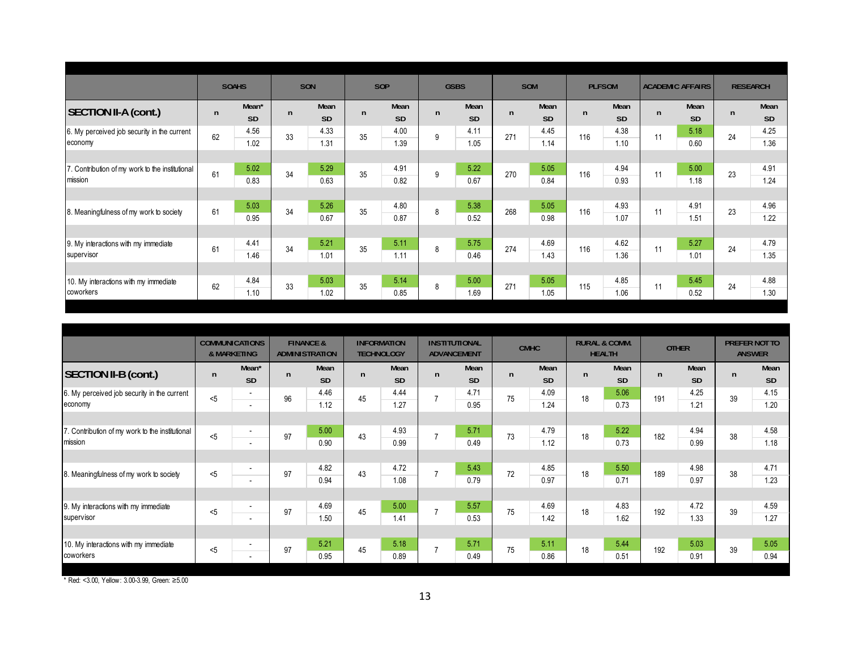|                                                           |              | <b>SOAHS</b>       | SON          |                   |    | <b>SOP</b>        |              | <b>GSBS</b>       |              | SOM               |     | <b>PLFSOM</b>     |              | <b>ACADEMIC AFFAIRS</b> |              | <b>RESEARCH</b>   |
|-----------------------------------------------------------|--------------|--------------------|--------------|-------------------|----|-------------------|--------------|-------------------|--------------|-------------------|-----|-------------------|--------------|-------------------------|--------------|-------------------|
| <b>SECTION II-A (cont.)</b>                               | $\mathsf{n}$ | Mean*<br><b>SD</b> | $\mathsf{n}$ | Mean<br><b>SD</b> | n  | Mean<br><b>SD</b> | $\mathsf{n}$ | Mean<br><b>SD</b> | $\mathsf{n}$ | Mean<br><b>SD</b> | n   | Mean<br><b>SD</b> | $\mathsf{n}$ | Mean<br><b>SD</b>       | $\mathsf{n}$ | Mean<br><b>SD</b> |
| 6. My perceived job security in the current<br>economy    | 62           | 4.56<br>1.02       | 33           | 4.33<br>1.31      | 35 | 4.00<br>1.39      | 9            | 4.11<br>1.05      | 271          | 4.45<br>1.14      | 116 | 4.38<br>1.10      | 11           | 5.18<br>0.60            | 24           | 4.25<br>1.36      |
|                                                           |              |                    |              |                   |    |                   |              |                   |              |                   |     |                   |              |                         |              |                   |
| . Contribution of my work to the institutional<br>mission | 61           | 5.02<br>0.83       | 34           | 5.29<br>0.63      | 35 | 4.91<br>0.82      | 9            | 5.22<br>0.67      | 270          | 5.05<br>0.84      | 116 | 4.94<br>0.93      | 11           | 5.00<br>1.18            | 23           | 4.91<br>1.24      |
|                                                           |              |                    |              |                   |    |                   |              |                   |              |                   |     |                   |              |                         |              |                   |
| 8. Meaningfulness of my work to society                   | 61           | 5.03<br>0.95       | 34           | 5.26<br>0.67      | 35 | 4.80<br>0.87      | 8            | 5.38<br>0.52      | 268          | 5.05<br>0.98      | 116 | 4.93<br>1.07      | 11           | 4.91<br>1.51            | 23           | 4.96<br>1.22      |
|                                                           |              |                    |              |                   |    |                   |              |                   |              |                   |     |                   |              |                         |              |                   |
| 9. My interactions with my immediate<br>supervisor        | 61           | 4.41<br>1.46       | 34           | 5.21<br>1.01      | 35 | 5.11<br>1.11      | 8            | 5.75<br>0.46      | 274          | 4.69<br>1.43      | 116 | 4.62<br>1.36      | 11           | 5.27<br>1.01            | 24           | 4.79<br>1.35      |
|                                                           |              |                    |              |                   |    |                   |              |                   |              |                   |     |                   |              |                         |              |                   |
| 10. My interactions with my immediate<br>coworkers        | 62           | 4.84<br>1.10       | 33           | 5.03<br>1.02      | 35 | 5.14<br>0.85      | 8            | 5.00<br>1.69      | 271          | 5.05<br>1.05      | 115 | 4.85<br>1.06      | 11           | 5.45<br>0.52            | 24           | 4.88<br>1.30      |
|                                                           |              |                    |              |                   |    |                   |              |                   |              |                   |     |                   |              |                         |              |                   |

|                                                        |              | <b>COMMUNICATIONS</b><br>& MARKETING |              | <b>FINANCE &amp;</b><br><b>ADMINISTRATION</b> |    | <b>INFORMATION</b><br><b>TECHNOLOGY</b> |                | <b>INSTITUTIONAL</b><br><b>ADVANCEMENT</b> |              | <b>CMHC</b>       |    | <b>RURAL &amp; COMM.</b><br><b>HEALTH</b> |              | <b>OTHER</b> |    | PREFER NOT TO<br><b>ANSWER</b> |
|--------------------------------------------------------|--------------|--------------------------------------|--------------|-----------------------------------------------|----|-----------------------------------------|----------------|--------------------------------------------|--------------|-------------------|----|-------------------------------------------|--------------|--------------|----|--------------------------------|
| SECTION II-B (cont.)                                   | $\mathsf{n}$ | Mean <sup>*</sup><br><b>SD</b>       | $\mathsf{n}$ | Mean<br><b>SD</b>                             | n. | Mean<br><b>SD</b>                       | $\mathsf{n}$   | Mean<br><b>SD</b>                          | $\mathsf{n}$ | Mean<br><b>SD</b> | n  | Mean<br><b>SD</b>                         | $\mathsf{n}$ | Mean<br>SD   | n  | Mean<br><b>SD</b>              |
| 6. My perceived job security in the current<br>economy | 5            | $\sim$<br>$\overline{\phantom{a}}$   | 96           | 4.46<br>1.12                                  | 45 | 4.44<br>1.27                            | $\overline{7}$ | 4.71<br>0.95                               | 75           | 4.09<br>1.24      | 18 | 5.06<br>0.73                              | 191          | 4.25<br>1.21 | 39 | 4.15<br>1.20                   |
| 7. Contribution of my work to the institutional        |              | $\blacksquare$                       |              | 5.00                                          |    | 4.93                                    |                | 5.71                                       |              | 4.79              |    | 5.22                                      |              | 4.94         |    | 4.58                           |
| mission                                                | < 5          | $\blacksquare$                       | 97           | 0.90                                          | 43 | 0.99                                    | $\overline{7}$ | 0.49                                       | 73           | 1.12              | 18 | 0.73                                      | 182          | 0.99         | 38 | 1.18                           |
|                                                        |              |                                      |              |                                               |    |                                         |                |                                            |              |                   |    |                                           |              |              |    |                                |
| 8. Meaningfulness of my work to society                | < 5          | ٠<br>$\sim$                          | 97           | 4.82<br>0.94                                  | 43 | 4.72<br>1.08                            | $\overline{7}$ | 5.43<br>0.79                               | 72           | 4.85<br>0.97      | 18 | 5.50<br>0.71                              | 189          | 4.98<br>0.97 | 38 | 4.71<br>1.23                   |
|                                                        |              |                                      |              |                                               |    |                                         |                |                                            |              |                   |    |                                           |              |              |    |                                |
| 9. My interactions with my immediate<br>supervisor     | $5$          | ٠<br>$\overline{\phantom{a}}$        | 97           | 4.69<br>1.50                                  | 45 | 5.00<br>1.41                            | $\overline{7}$ | 5.57<br>0.53                               | 75           | 4.69<br>1.42      | 18 | 4.83<br>1.62                              | 192          | 4.72<br>1.33 | 39 | 4.59<br>1.27                   |
|                                                        |              |                                      |              |                                               |    |                                         |                |                                            |              |                   |    |                                           |              |              |    |                                |
| 10. My interactions with my immediate<br>coworkers     | $5$          | $\overline{\phantom{a}}$<br>$\sim$   | 97           | 5.21<br>0.95                                  | 45 | 5.18<br>0.89                            | $\overline{7}$ | 5.71<br>0.49                               | 75           | 5.11<br>0.86      | 18 | 5.44<br>0.51                              | 192          | 5.03<br>0.91 | 39 | 5.05<br>0.94                   |
|                                                        |              |                                      |              |                                               |    |                                         |                |                                            |              |                   |    |                                           |              |              |    |                                |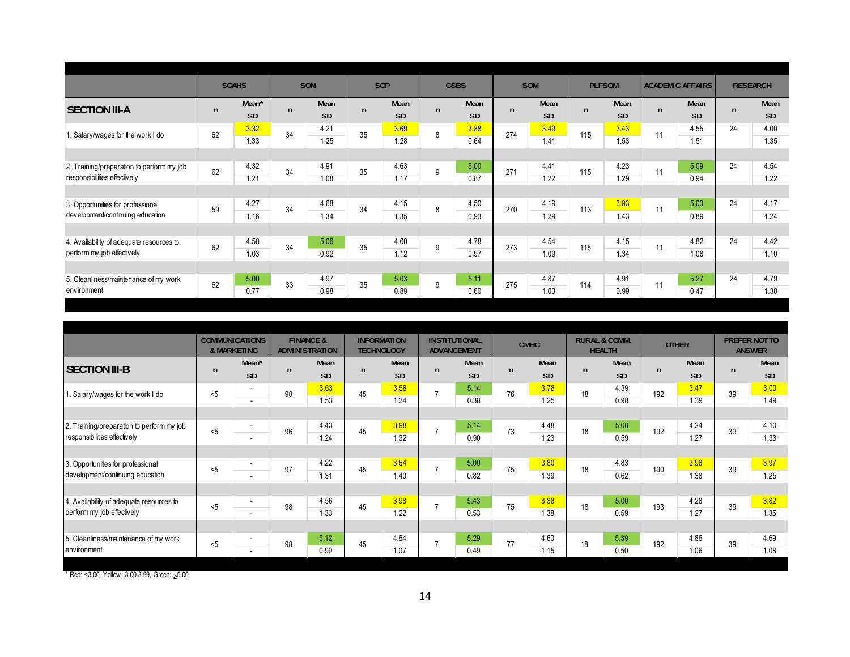|                                           |              | <b>SOAHS</b>      |              | SON       |    | SOP       |              | <b>GSBS</b> |              | <b>SOM</b> |              | <b>PLFSOM</b> |              | <b>ACADEMIC AFFAIRS</b> |    | <b>RESEARCH</b> |
|-------------------------------------------|--------------|-------------------|--------------|-----------|----|-----------|--------------|-------------|--------------|------------|--------------|---------------|--------------|-------------------------|----|-----------------|
| <b>SECTION III-A</b>                      | $\mathsf{n}$ | Mean <sup>*</sup> | $\mathsf{n}$ | Mean      | n. | Mean      | $\mathsf{n}$ | Mean        | $\mathsf{n}$ | Mean       | $\mathsf{n}$ | Mean          | $\mathsf{n}$ | Mean                    | n  | Mean            |
|                                           |              | <b>SD</b>         |              | <b>SD</b> |    | <b>SD</b> |              | <b>SD</b>   |              | <b>SD</b>  |              | <b>SD</b>     |              | <b>SD</b>               |    | <b>SD</b>       |
| . Salary/wages for the work I do          | 62           | 3.32              | 34           | 4.21      | 35 | 3.69      | 8            | 3.88        | 274          | 3.49       | 115          | 3.43          | 11           | 4.55                    | 24 | 4.00            |
|                                           |              | 1.33              |              | 1.25      |    | 1.28      |              | 0.64        |              | 1.41       |              | 1.53          |              | 1.51                    |    | 1.35            |
|                                           |              |                   |              |           |    |           |              |             |              |            |              |               |              |                         |    |                 |
| 2. Training/preparation to perform my job | 62           | 4.32              | 34           | 4.91      | 35 | 4.63      | 9            | 5.00        | 271          | 4.41       | 115          | 4.23          | 11           | 5.09                    | 24 | 4.54            |
| responsibilities effectively              |              | 1.21              |              | 1.08      |    | 1.17      |              | 0.87        |              | 1.22       |              | 1.29          |              | 0.94                    |    | 1.22            |
|                                           |              |                   |              |           |    |           |              |             |              |            |              |               |              |                         |    |                 |
| 3. Opportunities for professional         | 59           | 4.27              | 34           | 4.68      | 34 | 4.15      | 8            | 4.50        | 270          | 4.19       | 113          | 3.93          | 11           | 5.00                    | 24 | 4.17            |
| development/continuing education          |              | 1.16              |              | 1.34      |    | 1.35      |              | 0.93        |              | 1.29       |              | 1.43          |              | 0.89                    |    | 1.24            |
|                                           |              |                   |              |           |    |           |              |             |              |            |              |               |              |                         |    |                 |
| 4. Availability of adequate resources to  | 62           | 4.58              | 34           | 5.06      | 35 | 4.60      | 9            | 4.78        | 273          | 4.54       | 115          | 4.15          | 11           | 4.82                    | 24 | 4.42            |
| perform my job effectively                |              | 1.03              |              | 0.92      |    | 1.12      |              | 0.97        |              | 1.09       |              | 1.34          |              | 1.08                    |    | 1.10            |
|                                           |              |                   |              |           |    |           |              |             |              |            |              |               |              |                         |    |                 |
| 5. Cleanliness/maintenance of my work     | 62           | 5.00              | 33           | 4.97      | 35 | 5.03      | 9            | 5.11        | 275          | 4.87       | 114          | 4.91          | 11           | 5.27                    | 24 | 4.79            |
| environment                               |              | 0.77              |              | 0.98      |    | 0.89      |              | 0.60        |              | 1.03       |              | 0.99          |              | 0.47                    |    | 1.38            |

|                                                                       |              | <b>COMMUNICATIONS</b><br>& MARKETING                 |              | <b>FINANCE &amp;</b><br><b>ADMINISTRATION</b> |    | <b>INFORMATION</b><br><b>TECHNOLOGY</b> |                | <b>INSTITUTIONAL</b><br><b>ADVANCEMENT</b> |    | <b>CMHC</b>       |    | <b>RURAL &amp; COMM.</b><br><b>HEALTH</b> |     | <b>OTHER</b>      |              | PREFER NOT TO<br><b>ANSWER</b> |
|-----------------------------------------------------------------------|--------------|------------------------------------------------------|--------------|-----------------------------------------------|----|-----------------------------------------|----------------|--------------------------------------------|----|-------------------|----|-------------------------------------------|-----|-------------------|--------------|--------------------------------|
| <b>SECTION III-B</b>                                                  | $\mathsf{n}$ | Mean*<br><b>SD</b>                                   | $\mathsf{n}$ | Mean<br><b>SD</b>                             | n  | Mean<br><b>SD</b>                       | $\mathsf{n}$   | Mean<br><b>SD</b>                          | n  | Mean<br><b>SD</b> | n  | Mean<br>SD                                | n   | Mean<br><b>SD</b> | $\mathsf{n}$ | Mean<br>SD                     |
| . Salary/wages for the work I do                                      | < 5          | $\blacksquare$<br>$\overline{a}$                     | 98           | 3.63<br>1.53                                  | 45 | 3.58<br>1.34                            | $\overline{7}$ | 5.14<br>0.38                               | 76 | 3.78<br>1.25      | 18 | 4.39<br>0.98                              | 192 | 3.47<br>1.39      | 39           | 3.00<br>1.49                   |
| 2. Training/preparation to perform my job                             | < 5          | ٠                                                    | 96           | 4.43                                          | 45 | 3.98                                    | $\overline{7}$ | 5.14                                       | 73 | 4.48              | 18 | 5.00                                      | 192 | 4.24              | 39           | 4.10                           |
| responsibilities effectively                                          |              | $\sim$                                               |              | 1.24                                          |    | 1.32                                    |                | 0.90                                       |    | 1.23              |    | 0.59                                      |     | 1.27              |              | 1.33                           |
| 3. Opportunities for professional<br>development/continuing education | < 5          | $\overline{\phantom{a}}$<br>$\overline{\phantom{a}}$ | 97           | 4.22<br>1.31                                  | 45 | 3.64<br>1.40                            | $\overline{7}$ | 5.00<br>0.82                               | 75 | 3.80<br>1.39      | 18 | 4.83<br>0.62                              | 190 | 3.98<br>1.38      | 39           | 3.97<br>1.25                   |
| 4. Availability of adequate resources to                              | < 5          | $\overline{a}$                                       | 98           | 4.56                                          | 45 | 3.98                                    | $\overline{7}$ | 5.43                                       | 75 | 3.88              | 18 | 5.00                                      | 193 | 4.28              | 39           | 3.82                           |
| perform my job effectively                                            |              | $\overline{\phantom{a}}$                             |              | 1.33                                          |    | 1.22                                    |                | 0.53                                       |    | 1.38              |    | 0.59                                      |     | 1.27              |              | 1.35                           |
| 5. Cleanliness/maintenance of my work<br><b>l</b> environment         | < 5          | ٠<br>$\overline{\phantom{a}}$                        | 98           | 5.12<br>0.99                                  | 45 | 4.64<br>1.07                            | $\overline{7}$ | 5.29<br>0.49                               | 77 | 4.60<br>1.15      | 18 | 5.39<br>0.50                              | 192 | 4.86<br>1.06      | 39           | 4.69<br>1.08                   |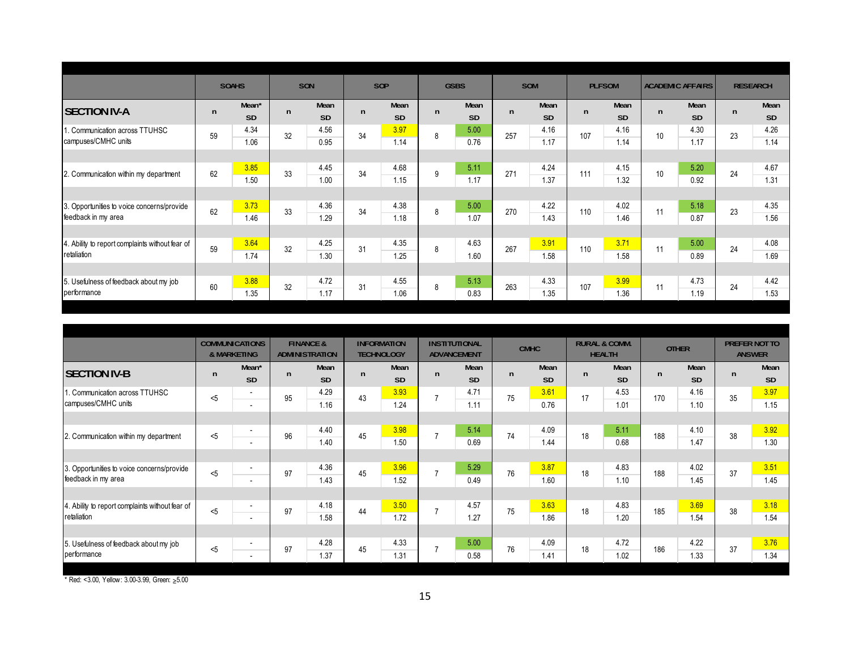|                                                                   |              | <b>SOAHS</b>       |              | SON               |    | SOP               |              | <b>GSBS</b>       |              | SOM          |              | <b>PLFSOM</b> |    | <b>ACADEMIC AFFAIRS</b> | <b>RESEARCH</b> |                   |
|-------------------------------------------------------------------|--------------|--------------------|--------------|-------------------|----|-------------------|--------------|-------------------|--------------|--------------|--------------|---------------|----|-------------------------|-----------------|-------------------|
| <b>SECTION IV-A</b>                                               | $\mathsf{n}$ | Mean*<br><b>SD</b> | $\mathsf{n}$ | Mean<br><b>SD</b> | n  | Mean<br><b>SD</b> | $\mathsf{n}$ | Mean<br><b>SD</b> | $\mathsf{n}$ | Mean<br>SD   | $\mathsf{n}$ | Mean<br>SD    | n  | Mean<br><b>SD</b>       | n               | Mean<br><b>SD</b> |
| . Communication across TTUHSC<br>campuses/CMHC units              | 59           | 4.34<br>1.06       | 32           | 4.56<br>0.95      | 34 | 3.97<br>1.14      | 8            | 5.00<br>0.76      | 257          | 4.16<br>1.17 | 107          | 4.16<br>1.14  | 10 | 4.30<br>1.17            | 23              | 4.26<br>1.14      |
|                                                                   |              |                    |              |                   |    |                   |              |                   |              |              |              |               |    |                         |                 |                   |
| 2. Communication within my department                             | 62           | 3.85<br>1.50       | 33           | 4.45<br>1.00      | 34 | 4.68<br>1.15      | 9            | 5.11<br>1.17      | 271          | 4.24<br>1.37 | 111          | 4.15<br>1.32  | 10 | 5.20<br>0.92            | 24              | 4.67<br>1.31      |
|                                                                   |              |                    |              |                   |    |                   |              |                   |              |              |              |               |    |                         |                 |                   |
| 3. Opportunities to voice concerns/provide<br>feedback in my area | 62           | 3.73<br>1.46       | 33           | 4.36<br>1.29      | 34 | 4.38<br>1.18      | 8            | 5.00<br>1.07      | 270          | 4.22<br>1.43 | 110          | 4.02<br>1.46  | 11 | 5.18<br>0.87            | 23              | 4.35<br>1.56      |
|                                                                   |              |                    |              |                   |    |                   |              |                   |              |              |              |               |    |                         |                 |                   |
| 4. Ability to report complaints without fear of<br>retaliation    | 59           | 3.64<br>1.74       | 32           | 4.25<br>1.30      | 31 | 4.35<br>1.25      | 8            | 4.63<br>1.60      | 267          | 3.91<br>1.58 | 110          | 3.71<br>1.58  | 11 | 5.00<br>0.89            | 24              | 4.08<br>1.69      |
|                                                                   |              |                    |              |                   |    |                   |              |                   |              |              |              |               |    |                         |                 |                   |
| 5. Usefulness of feedback about my job                            | 60           | 3.88               | 32           | 4.72              | 31 | 4.55              | 8            | 5.13              | 263          | 4.33         | 107          | 3.99          | 11 | 4.73                    | 24              | 4.42              |
| berformance                                                       |              | 1.35               |              | 1.17              |    | 1.06              |              | 0.83              |              | 1.35         |              | 1.36          |    | 1.19                    |                 | 1.53              |

|                                                                       |     | <b>COMMUNICATIONS</b><br>& MARKETING                 |              | <b>FINANCE &amp;</b><br><b>ADMINISTRATION</b> |    | <b>INFORMATION</b><br><b>TECHNOLOGY</b> |                | <b>INSTITUTIONAL</b><br><b>ADVANCEMENT</b> |              | <b>CMHC</b>  |    | <b>RURAL &amp; COMM.</b><br><b>HEALTH</b> |     | <b>OTHER</b>      | PREFER NOT TO<br><b>ANSWER</b> |                   |
|-----------------------------------------------------------------------|-----|------------------------------------------------------|--------------|-----------------------------------------------|----|-----------------------------------------|----------------|--------------------------------------------|--------------|--------------|----|-------------------------------------------|-----|-------------------|--------------------------------|-------------------|
| <b>SECTION IV-B</b>                                                   | n   | Mean <sup>*</sup><br><b>SD</b>                       | $\mathsf{n}$ | Mean<br><b>SD</b>                             | n  | Mean<br><b>SD</b>                       | $\mathsf{n}$   | Mean<br><b>SD</b>                          | $\mathsf{n}$ | Mean<br>SD   | n  | Mean<br><b>SD</b>                         | n   | Mean<br><b>SD</b> | n                              | Mean<br><b>SD</b> |
| 1. Communication across TTUHSC<br>campuses/CMHC units                 | $5$ | $\blacksquare$<br>$\blacksquare$                     | 95           | 4.29<br>1.16                                  | 43 | 3.93<br>1.24                            | $\overline{7}$ | 4.71<br>1.11                               | 75           | 3.61<br>0.76 | 17 | 4.53<br>1.01                              | 170 | 4.16<br>1.10      | 35                             | 3.97<br>1.15      |
|                                                                       |     |                                                      |              |                                               |    |                                         |                |                                            |              |              |    |                                           |     |                   |                                |                   |
| 2. Communication within my department                                 | < 5 | $\overline{\phantom{a}}$<br>$\overline{a}$           | 96           | 4.40<br>1.40                                  | 45 | 3.98<br>1.50                            | $\overline{7}$ | 5.14<br>0.69                               | 74           | 4.09<br>1.44 | 18 | 5.11<br>0.68                              | 188 | 4.10<br>1.47      | 38                             | 3.92<br>1.30      |
|                                                                       |     |                                                      |              |                                               |    |                                         |                |                                            |              |              |    |                                           |     |                   |                                |                   |
| 3. Opportunities to voice concerns/provide<br>feedback in my area     | < 5 | $\overline{\phantom{a}}$<br>$\overline{a}$           | 97           | 4.36<br>1.43                                  | 45 | 3.96<br>1.52                            | $\overline{7}$ | 5.29<br>0.49                               | 76           | 3.87<br>1.60 | 18 | 4.83<br>1.10                              | 188 | 4.02<br>1.45      | 37                             | 3.51<br>1.45      |
|                                                                       |     |                                                      |              |                                               |    |                                         |                |                                            |              |              |    |                                           |     |                   |                                |                   |
| 4. Ability to report complaints without fear of<br><b>retaliation</b> | < 5 | $\overline{\phantom{a}}$<br>$\overline{a}$           | 97           | 4.18<br>1.58                                  | 44 | 3.50<br>1.72                            | $\overline{7}$ | 4.57<br>1.27                               | 75           | 3.63<br>1.86 | 18 | 4.83<br>1.20                              | 185 | 3.69<br>1.54      | 38                             | 3.18<br>1.54      |
|                                                                       |     |                                                      |              |                                               |    |                                         |                |                                            |              |              |    |                                           |     |                   |                                |                   |
| 5. Usefulness of feedback about my job<br>performance                 | $5$ | $\overline{\phantom{a}}$<br>$\overline{\phantom{a}}$ | 97           | 4.28<br>1.37                                  | 45 | 4.33<br>1.31                            | $\overline{ }$ | 5.00<br>0.58                               | 76           | 4.09<br>1.41 | 18 | 4.72<br>1.02                              | 186 | 4.22<br>1.33      | 37                             | 3.76<br>1.34      |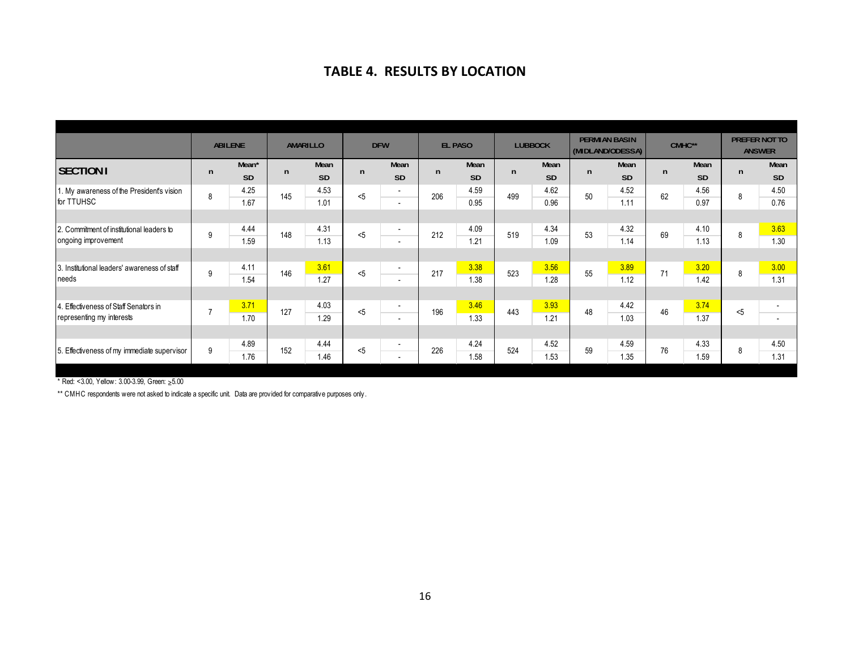#### **TABLE 4. RESULTS BY LOCATION**

|                                              |                | <b>ABILENE</b> |              | AMARILLO  |     | <b>DFW</b>     |              | <b>EL PASO</b> |              | <b>LUBBOCK</b> |    | <b>PERMIAN BASIN</b><br>(MIDLAND/ODESSA) |    | CMHC**    |              | <b>PREFER NOT TO</b><br><b>ANSWER</b> |
|----------------------------------------------|----------------|----------------|--------------|-----------|-----|----------------|--------------|----------------|--------------|----------------|----|------------------------------------------|----|-----------|--------------|---------------------------------------|
| <b>SECTION I</b>                             | $\mathsf{n}$   | Mean*          | $\mathsf{n}$ | Mean      | n   | Mean           | $\mathsf{n}$ | Mean           | $\mathsf{n}$ | Mean           | n  | Mean                                     | n  | Mean      | $\mathsf{n}$ | Mean                                  |
|                                              |                | <b>SD</b>      |              | <b>SD</b> |     | <b>SD</b>      |              | <b>SD</b>      |              | SD             |    | SD                                       |    | <b>SD</b> |              | SD                                    |
| 1. My awareness of the President's vision    | 8              | 4.25           | 145          | 4.53      | < 5 | $\sim$         | 206          | 4.59           | 499          | 4.62           | 50 | 4.52                                     | 62 | 4.56      | 8            | 4.50                                  |
| for TTUHSC                                   |                | 1.67           |              | 1.01      |     | $\sim$         |              | 0.95           |              | 0.96           |    | 1.11                                     |    | 0.97      |              | 0.76                                  |
|                                              |                |                |              |           |     |                |              |                |              |                |    |                                          |    |           |              |                                       |
| 2. Commitment of institutional leaders to    | 9              | 4.44           | 148          | 4.31      | 5   | $\sim$         | 212          | 4.09           | 519          | 4.34           | 53 | 4.32                                     | 69 | 4.10      | 8            | 3.63                                  |
| ongoing improvement                          |                | 1.59           |              | 1.13      |     | $\sim$         |              | 1.21           |              | 1.09           |    | 1.14                                     |    | 1.13      |              | 1.30                                  |
|                                              |                |                |              |           |     |                |              |                |              |                |    |                                          |    |           |              |                                       |
| 3. Institutional leaders' awareness of staff | 9              | 4.11           | 146          | 3.61      | $5$ | $\sim$         | 217          | 3.38           | 523          | 3.56           | 55 | 3.89                                     | 71 | 3.20      | 8            | 3.00                                  |
| needs                                        |                | 1.54           |              | 1.27      |     | $\overline{a}$ |              | 1.38           |              | 1.28           |    | 1.12                                     |    | 1.42      |              | 1.31                                  |
|                                              |                |                |              |           |     |                |              |                |              |                |    |                                          |    |           |              |                                       |
| Effectiveness of Staff Senators in           | $\overline{7}$ | 3.71           | 127          | 4.03      | 5   | $\sim$         | 196          | 3.46           | 443          | 3.93           | 48 | 4.42                                     | 46 | 3.74      | 5            | $\overline{\phantom{a}}$              |
| representing my interests                    |                | 1.70           |              | 1.29      |     | $\sim$         |              | 1.33           |              | 1.21           |    | 1.03                                     |    | 1.37      |              | $\overline{\phantom{a}}$              |
|                                              |                |                |              |           |     |                |              |                |              |                |    |                                          |    |           |              |                                       |
| 5. Effectiveness of my immediate supervisor  | 9              | 4.89           | 152          | 4.44      | < 5 | $\overline{a}$ | 226          | 4.24           | 524          | 4.52           | 59 | 4.59                                     | 76 | 4.33      | 8            | 4.50                                  |
|                                              |                | 1.76           |              | 1.46      |     | $\sim$         |              | 1.58           |              | 1.53           |    | 1.35                                     |    | 1.59      |              | 1.31                                  |

\* Red: <3.00, Yellow: 3.00-3.99, Green: ≥5.00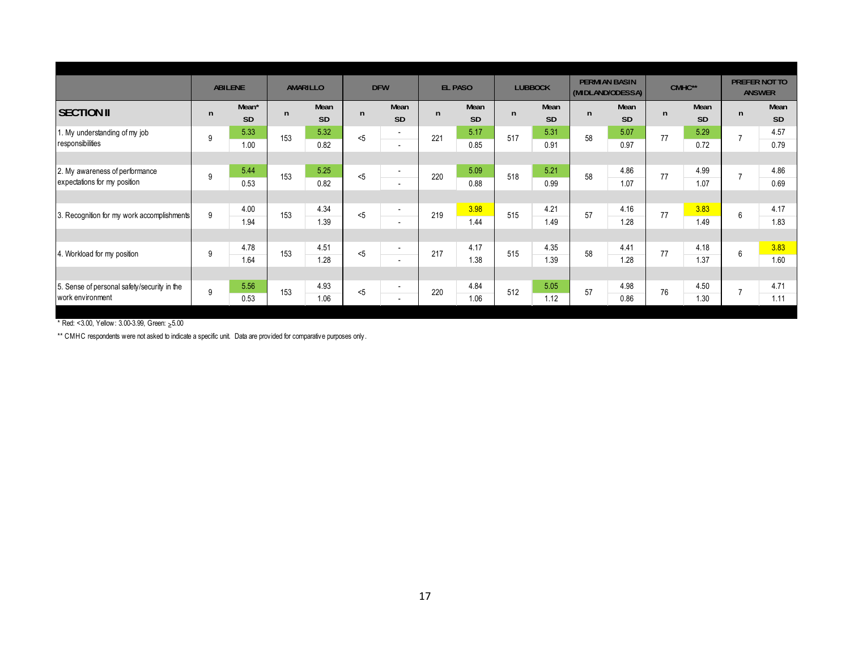|                                                                 |              | <b>ABILENE</b>                 |              | AMARILLO          | <b>DFW</b> |                                                      |              | <b>EL PASO</b>    |              | <b>LUBBOCK</b>    |    | <b>PERMIAN BASIN</b><br>(MIDLAND/ODESSA) |              | CMHC**            | <b>PREFER NOT TO</b>     | <b>ANSWER</b>     |
|-----------------------------------------------------------------|--------------|--------------------------------|--------------|-------------------|------------|------------------------------------------------------|--------------|-------------------|--------------|-------------------|----|------------------------------------------|--------------|-------------------|--------------------------|-------------------|
| <b>SECTION II</b>                                               | $\mathsf{n}$ | Mean <sup>*</sup><br><b>SD</b> | $\mathsf{n}$ | Mean<br><b>SD</b> | n          | Mean<br><b>SD</b>                                    | $\mathsf{n}$ | Mean<br><b>SD</b> | $\mathsf{n}$ | Mean<br><b>SD</b> | n  | Mean<br><b>SD</b>                        | $\mathsf{n}$ | Mean<br><b>SD</b> | $\mathsf{n}$             | Mean<br><b>SD</b> |
| 1. My understanding of my job<br>responsibilities               | 9            | 5.33<br>1.00                   | 153          | 5.32<br>0.82      | < 5        | $\sim$<br>$\overline{\phantom{a}}$                   | 221          | 5.17<br>0.85      | 517          | 5.31<br>0.91      | 58 | 5.07<br>0.97                             | 77           | 5.29<br>0.72      |                          | 4.57<br>0.79      |
| 2. My awareness of performance<br>expectations for my position  | 9            | 5.44<br>0.53                   | 153          | 5.25<br>0.82      | 5          | $\sim$<br>$\overline{\phantom{a}}$                   | 220          | 5.09<br>0.88      | 518          | 5.21<br>0.99      | 58 | 4.86<br>1.07                             | 77           | 4.99<br>1.07      | $\overline{ }$           | 4.86<br>0.69      |
| 3. Recognition for my work accomplishments                      | 9            | 4.00                           | 153          | 4.34              | 5          | $\overline{\phantom{a}}$                             | 219          | 3.98              | 515          | 4.21              | 57 | 4.16                                     | 77           | 3.83              | 6                        | 4.17              |
|                                                                 |              | 1.94                           |              | 1.39              |            | $\overline{\phantom{a}}$                             |              | 1.44              |              | 1.49              |    | 1.28                                     |              | 1.49              |                          | 1.83              |
| 4. Workload for my position                                     | 9            | 4.78<br>1.64                   | 153          | 4.51<br>1.28      | 5          | $\overline{a}$<br>$\overline{\phantom{a}}$           | 217          | 4.17<br>1.38      | 515          | 4.35<br>1.39      | 58 | 4.41<br>1.28                             | 77           | 4.18<br>1.37      | 6                        | 3.83<br>1.60      |
| 5. Sense of personal safety/security in the<br>work environment | 9            | 5.56<br>0.53                   | 153          | 4.93<br>1.06      | $5$        | $\overline{\phantom{a}}$<br>$\overline{\phantom{a}}$ | 220          | 4.84<br>1.06      | 512          | 5.05<br>1.12      | 57 | 4.98<br>0.86                             | 76           | 4.50<br>1.30      | $\overline{\phantom{a}}$ | 4.71<br>1.11      |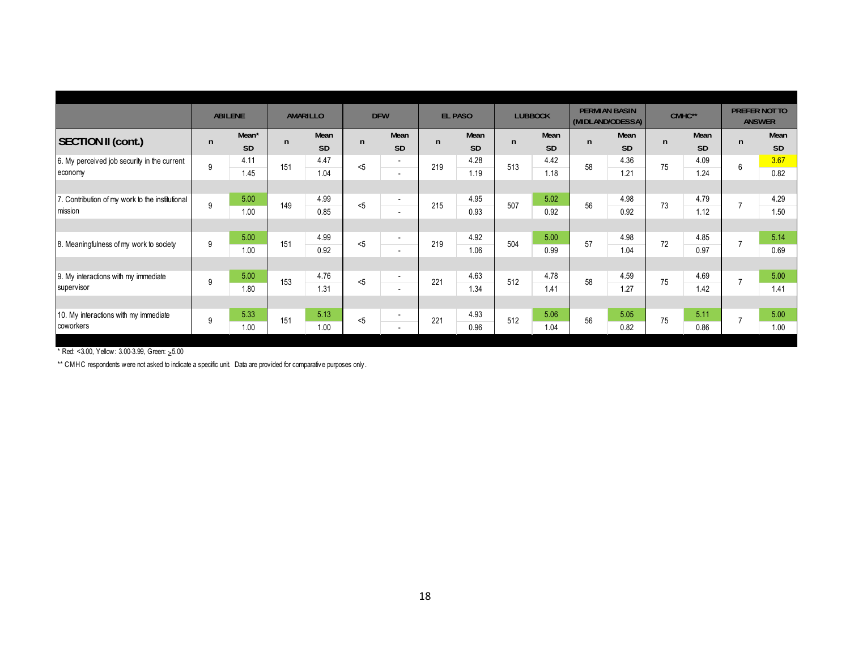|                                                 |   | <b>ABILENE</b>    |     | <b>AMARILLO</b> |     | <b>DFW</b>               |              | <b>EL PASO</b> |              | <b>LUBBOCK</b> |    | <b>PERMIAN BASIN</b><br>(MIDLAND/ODESSA) |    | CMHC**    | <b>PREFER NOT TO</b> | <b>ANSWER</b> |
|-------------------------------------------------|---|-------------------|-----|-----------------|-----|--------------------------|--------------|----------------|--------------|----------------|----|------------------------------------------|----|-----------|----------------------|---------------|
| <b>SECTION II (cont.)</b>                       | n | Mean <sup>*</sup> | n   | Mean            | n   | Mean                     | $\mathsf{n}$ | Mean           | $\mathsf{n}$ | Mean           | n  | Mean                                     | n  | Mean      | $\mathsf{n}$         | Mean          |
|                                                 |   | <b>SD</b>         |     | <b>SD</b>       |     | <b>SD</b>                |              | <b>SD</b>      |              | <b>SD</b>      |    | <b>SD</b>                                |    | <b>SD</b> |                      | <b>SD</b>     |
| 6. My perceived job security in the current     | 9 | 4.11              | 151 | 4.47            | < 5 | $\sim$                   | 219          | 4.28           | 513          | 4.42           | 58 | 4.36                                     | 75 | 4.09      | 6                    | 3.67          |
| economy                                         |   | 1.45              |     | 1.04            |     | $\overline{\phantom{a}}$ |              | 1.19           |              | 1.18           |    | 1.21                                     |    | 1.24      |                      | 0.82          |
|                                                 |   |                   |     |                 |     |                          |              |                |              |                |    |                                          |    |           |                      |               |
| 7. Contribution of my work to the institutional | 9 | 5.00              | 149 | 4.99            | < 5 | $\sim$                   | 215          | 4.95           | 507          | 5.02           | 56 | 4.98                                     | 73 | 4.79      |                      | 4.29          |
| mission                                         |   | 1.00              |     | 0.85            |     | $\overline{\phantom{a}}$ |              | 0.93           |              | 0.92           |    | 0.92                                     |    | 1.12      |                      | 1.50          |
|                                                 |   |                   |     |                 |     |                          |              |                |              |                |    |                                          |    |           |                      |               |
| 8. Meaningfulness of my work to society         | 9 | 5.00              | 151 | 4.99            | 5   | $\overline{\phantom{a}}$ | 219          | 4.92           | 504          | 5.00           | 57 | 4.98                                     | 72 | 4.85      |                      | 5.14          |
|                                                 |   | 1.00              |     | 0.92            |     | $\overline{\phantom{a}}$ |              | 1.06           |              | 0.99           |    | 1.04                                     |    | 0.97      |                      | 0.69          |
|                                                 |   |                   |     |                 |     |                          |              |                |              |                |    |                                          |    |           |                      |               |
| 9. My interactions with my immediate            | 9 | 5.00              | 153 | 4.76            | 5   | $\overline{a}$           | 221          | 4.63           | 512          | 4.78           | 58 | 4.59                                     | 75 | 4.69      |                      | 5.00          |
| supervisor                                      |   | 1.80              |     | 1.31            |     | $\overline{\phantom{a}}$ |              | 1.34           |              | 1.41           |    | 1.27                                     |    | 1.42      |                      | 1.41          |
|                                                 |   |                   |     |                 |     |                          |              |                |              |                |    |                                          |    |           |                      |               |
| 10. My interactions with my immediate           | 9 | 5.33              | 151 | 5.13            | $5$ | $\overline{\phantom{a}}$ | 221          | 4.93           | 512          | 5.06           | 56 | 5.05                                     | 75 | 5.11      |                      | 5.00          |
| coworkers                                       |   | 1.00              |     | 1.00            |     | $\overline{\phantom{a}}$ |              | 0.96           |              | 1.04           |    | 0.82                                     |    | 0.86      |                      | 1.00          |
|                                                 |   |                   |     |                 |     |                          |              |                |              |                |    |                                          |    |           |                      |               |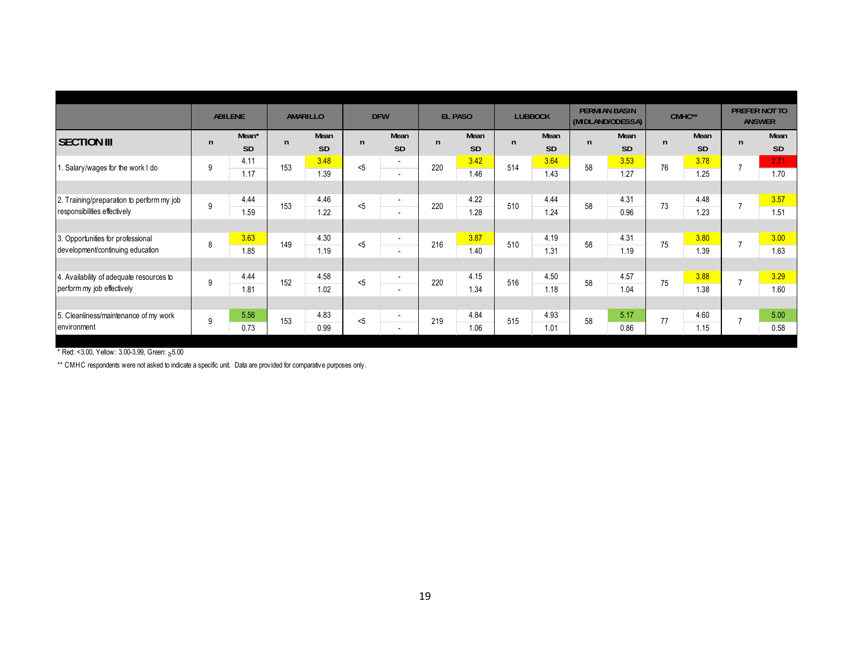|                                                                           |              | <b>ABILENE</b>     |              | AMARILLO          |     | <b>DFW</b>                                           |              | <b>EL PASO</b>    |     | <b>LUBBOCK</b>    |    | <b>PERMIAN BASIN</b><br>(MIDLAND/ODESSA) |    | CMHC**            |                | PREFER NOT TO<br><b>ANSWER</b> |
|---------------------------------------------------------------------------|--------------|--------------------|--------------|-------------------|-----|------------------------------------------------------|--------------|-------------------|-----|-------------------|----|------------------------------------------|----|-------------------|----------------|--------------------------------|
| <b>SECTION III</b>                                                        | $\mathsf{n}$ | Mean*<br><b>SD</b> | $\mathsf{n}$ | Mean<br><b>SD</b> | n   | Mean<br><b>SD</b>                                    | $\mathsf{n}$ | Mean<br><b>SD</b> | n   | Mean<br><b>SD</b> | n  | Mean<br><b>SD</b>                        | n  | Mean<br><b>SD</b> | n              | Mean<br><b>SD</b>              |
| . Salary/wages for the work I do                                          | 9            | 4.11<br>1.17       | 153          | 3.48<br>1.39      | < 5 | $\sim$<br>$\overline{\phantom{a}}$                   | 220          | 3.42<br>1.46      | 514 | 3.64<br>1.43      | 58 | 3.53<br>1.27                             | 76 | 3.78<br>1.25      | $\overline{7}$ | 2.71<br>1.70                   |
|                                                                           |              |                    |              |                   |     |                                                      |              |                   |     |                   |    |                                          |    |                   |                |                                |
| 2. Training/preparation to perform my job<br>responsibilities effectively | 9            | 4.44<br>1.59       | 153          | 4.46<br>1.22      | < 5 | $\overline{\phantom{a}}$<br>$\overline{\phantom{a}}$ | 220          | 4.22<br>1.28      | 510 | 4.44<br>1.24      | 58 | 4.31<br>0.96                             | 73 | 4.48<br>1.23      | $\overline{7}$ | 3.57<br>1.51                   |
|                                                                           |              |                    |              |                   |     |                                                      |              |                   |     |                   |    |                                          |    |                   |                |                                |
| 3. Opportunities for professional<br>development/continuing education     | 8            | 3.63<br>1.85       | 149          | 4.30<br>1.19      | $5$ | $\overline{\phantom{a}}$<br>$\overline{\phantom{a}}$ | 216          | 3.87<br>1.40      | 510 | 4.19<br>1.31      | 58 | 4.31<br>1.19                             | 75 | 3.80<br>1.39      | $\overline{7}$ | 3.00<br>1.63                   |
|                                                                           |              |                    |              |                   |     |                                                      |              |                   |     |                   |    |                                          |    |                   |                |                                |
| 4. Availability of adequate resources to<br>perform my job effectively    | 9            | 4.44<br>1.81       | 152          | 4.58<br>1.02      | 5   | $\overline{\phantom{a}}$<br>$\overline{\phantom{a}}$ | 220          | 4.15<br>1.34      | 516 | 4.50<br>1.18      | 58 | 4.57<br>1.04                             | 75 | 3.88<br>1.38      | $\overline{7}$ | 3.29<br>1.60                   |
|                                                                           |              |                    |              |                   |     |                                                      |              |                   |     |                   |    |                                          |    |                   |                |                                |
| 5. Cleanliness/maintenance of my work<br>lenvironment                     | 9            | 5.56<br>0.73       | 153          | 4.83<br>0.99      | < 5 | $\overline{\phantom{a}}$<br>$\overline{\phantom{a}}$ | 219          | 4.84<br>1.06      | 515 | 4.93<br>1.01      | 58 | 5.17<br>0.86                             | 77 | 4.60<br>1.15      | $\overline{ }$ | 5.00<br>0.58                   |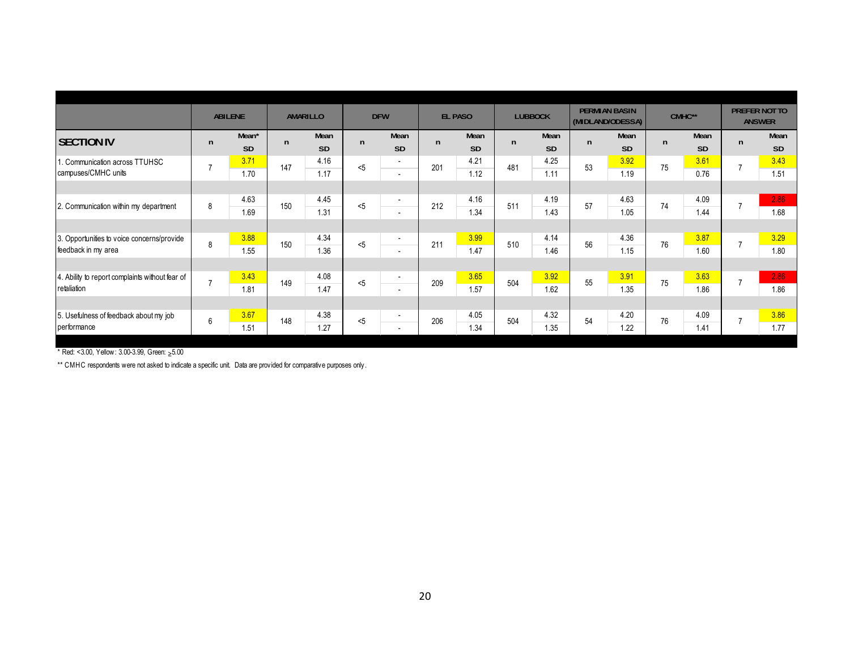| <b>PERMIAN BASIN</b><br>PREFER NOT TO<br>CMHC**<br><b>ABILENE</b><br><b>DFW</b><br><b>LUBBOCK</b><br>AMARILLO<br><b>EL PASO</b><br>(MIDLAND/ODESSA)<br><b>ANSWER</b><br>Mean*<br>Mean<br>Mean<br>Mean<br>Mean<br>Mean<br>Mean<br><b>SECTION IV</b><br>$\mathsf{n}$<br>$\mathsf{n}$<br>$\mathsf{n}$<br>n.<br>n<br>$\mathsf{n}$<br>n<br>n<br><b>SD</b><br><b>SD</b><br><b>SD</b><br><b>SD</b><br><b>SD</b><br><b>SD</b><br><b>SD</b><br>3.71<br>3.92<br>3.61<br>4.25<br>4.16<br>4.21<br>. Communication across TTUHSC<br>$\sim$<br>53<br>$\overline{7}$<br>147<br>201<br>481<br>< 5<br>75<br>$\overline{ }$<br>campuses/CMHC units<br>1.17<br>1.12<br>1.11<br>1.19<br>0.76<br>1.70<br>$\overline{\phantom{a}}$<br>4.63<br>4.16<br>4.19<br>4.63<br>4.09<br>4.45<br>$\overline{\phantom{a}}$<br>150<br>212<br>511<br>< 5<br>57<br>74<br>8<br>2. Communication within my department<br>1.31<br>1.34<br>1.43<br>1.44<br>1.69<br>1.05<br>$\overline{\phantom{a}}$<br>3.87<br>3.88<br>3.99<br>4.36<br>4.34<br>4.14<br>3. Opportunities to voice concerns/provide<br>$\overline{\phantom{a}}$<br>8<br>150<br>$5$<br>211<br>510<br>56<br>76<br>feedback in my area<br>1.36<br>1.47<br>1.46<br>1.15<br>1.60<br>1.55<br>$\overline{\phantom{a}}$<br>3.63<br>3.43<br>3.65<br>3.92<br>3.91<br>4.08<br>4. Ability to report complaints without fear of<br>$\overline{\phantom{a}}$<br>55<br>$\overline{7}$<br>5<br>209<br>504<br>149<br>75<br>retaliation<br>1.62<br>1.86<br>1.81<br>1.47<br>1.57<br>1.35<br>$\overline{a}$ |  |  |  |  |  |  |  |  |                   |
|--------------------------------------------------------------------------------------------------------------------------------------------------------------------------------------------------------------------------------------------------------------------------------------------------------------------------------------------------------------------------------------------------------------------------------------------------------------------------------------------------------------------------------------------------------------------------------------------------------------------------------------------------------------------------------------------------------------------------------------------------------------------------------------------------------------------------------------------------------------------------------------------------------------------------------------------------------------------------------------------------------------------------------------------------------------------------------------------------------------------------------------------------------------------------------------------------------------------------------------------------------------------------------------------------------------------------------------------------------------------------------------------------------------------------------------------------------------------------------------------------------------|--|--|--|--|--|--|--|--|-------------------|
|                                                                                                                                                                                                                                                                                                                                                                                                                                                                                                                                                                                                                                                                                                                                                                                                                                                                                                                                                                                                                                                                                                                                                                                                                                                                                                                                                                                                                                                                                                              |  |  |  |  |  |  |  |  |                   |
|                                                                                                                                                                                                                                                                                                                                                                                                                                                                                                                                                                                                                                                                                                                                                                                                                                                                                                                                                                                                                                                                                                                                                                                                                                                                                                                                                                                                                                                                                                              |  |  |  |  |  |  |  |  | Mean<br><b>SD</b> |
|                                                                                                                                                                                                                                                                                                                                                                                                                                                                                                                                                                                                                                                                                                                                                                                                                                                                                                                                                                                                                                                                                                                                                                                                                                                                                                                                                                                                                                                                                                              |  |  |  |  |  |  |  |  | 3.43<br>1.51      |
|                                                                                                                                                                                                                                                                                                                                                                                                                                                                                                                                                                                                                                                                                                                                                                                                                                                                                                                                                                                                                                                                                                                                                                                                                                                                                                                                                                                                                                                                                                              |  |  |  |  |  |  |  |  |                   |
|                                                                                                                                                                                                                                                                                                                                                                                                                                                                                                                                                                                                                                                                                                                                                                                                                                                                                                                                                                                                                                                                                                                                                                                                                                                                                                                                                                                                                                                                                                              |  |  |  |  |  |  |  |  | 2.86              |
|                                                                                                                                                                                                                                                                                                                                                                                                                                                                                                                                                                                                                                                                                                                                                                                                                                                                                                                                                                                                                                                                                                                                                                                                                                                                                                                                                                                                                                                                                                              |  |  |  |  |  |  |  |  | 1.68              |
|                                                                                                                                                                                                                                                                                                                                                                                                                                                                                                                                                                                                                                                                                                                                                                                                                                                                                                                                                                                                                                                                                                                                                                                                                                                                                                                                                                                                                                                                                                              |  |  |  |  |  |  |  |  |                   |
|                                                                                                                                                                                                                                                                                                                                                                                                                                                                                                                                                                                                                                                                                                                                                                                                                                                                                                                                                                                                                                                                                                                                                                                                                                                                                                                                                                                                                                                                                                              |  |  |  |  |  |  |  |  | 3.29              |
|                                                                                                                                                                                                                                                                                                                                                                                                                                                                                                                                                                                                                                                                                                                                                                                                                                                                                                                                                                                                                                                                                                                                                                                                                                                                                                                                                                                                                                                                                                              |  |  |  |  |  |  |  |  | 1.80              |
|                                                                                                                                                                                                                                                                                                                                                                                                                                                                                                                                                                                                                                                                                                                                                                                                                                                                                                                                                                                                                                                                                                                                                                                                                                                                                                                                                                                                                                                                                                              |  |  |  |  |  |  |  |  |                   |
|                                                                                                                                                                                                                                                                                                                                                                                                                                                                                                                                                                                                                                                                                                                                                                                                                                                                                                                                                                                                                                                                                                                                                                                                                                                                                                                                                                                                                                                                                                              |  |  |  |  |  |  |  |  | 2.86              |
|                                                                                                                                                                                                                                                                                                                                                                                                                                                                                                                                                                                                                                                                                                                                                                                                                                                                                                                                                                                                                                                                                                                                                                                                                                                                                                                                                                                                                                                                                                              |  |  |  |  |  |  |  |  | 1.86              |
|                                                                                                                                                                                                                                                                                                                                                                                                                                                                                                                                                                                                                                                                                                                                                                                                                                                                                                                                                                                                                                                                                                                                                                                                                                                                                                                                                                                                                                                                                                              |  |  |  |  |  |  |  |  |                   |
| 3.67<br>4.20<br>4.09<br>4.38<br>4.05<br>4.32<br>5. Usefulness of feedback about my job<br>$\overline{\phantom{a}}$<br>148<br>206<br>504<br>76<br>6<br>54<br>< 5                                                                                                                                                                                                                                                                                                                                                                                                                                                                                                                                                                                                                                                                                                                                                                                                                                                                                                                                                                                                                                                                                                                                                                                                                                                                                                                                              |  |  |  |  |  |  |  |  | 3.86              |
| performance<br>1.34<br>1.35<br>1.22<br>1.41<br>1.51<br>1.27<br>$\overline{\phantom{a}}$                                                                                                                                                                                                                                                                                                                                                                                                                                                                                                                                                                                                                                                                                                                                                                                                                                                                                                                                                                                                                                                                                                                                                                                                                                                                                                                                                                                                                      |  |  |  |  |  |  |  |  | 1.77              |